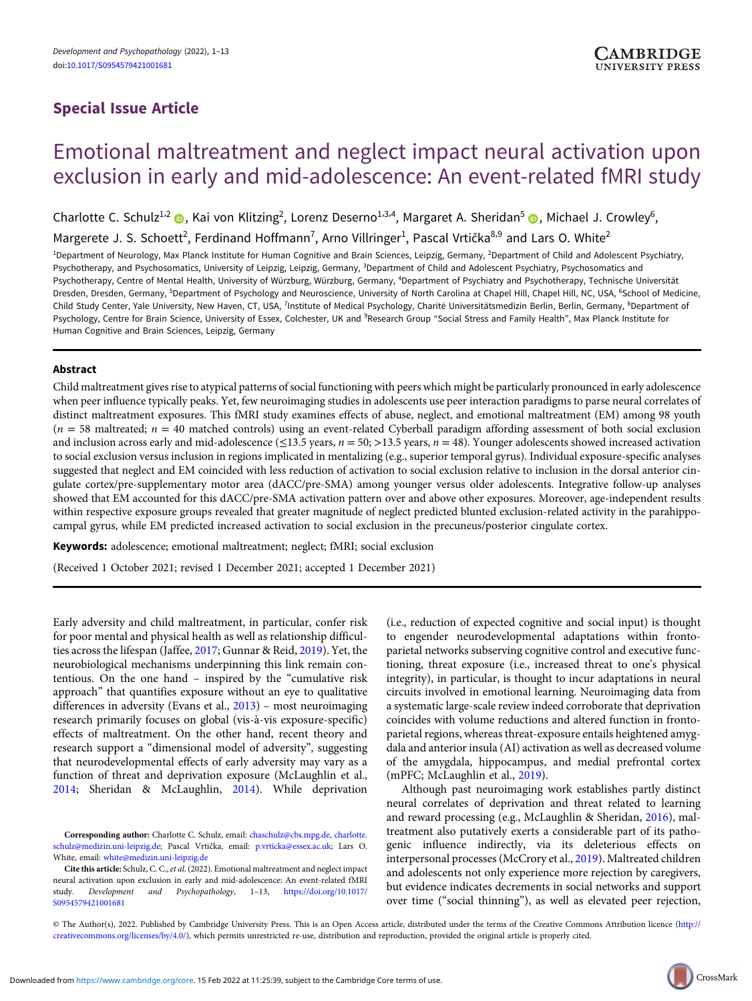## Special Issue Article

# Emotional maltreatment and neglect impact neural activation upon exclusion in early and mid-adolescence: An event-related fMRI study

Charlotte C. Schulz<sup>1,2</sup> (D. Kai von Klitzing<sup>2</sup>, Lorenz Deserno<sup>1,3,4</sup>, Margaret A. Sheridan<sup>5</sup> (D. Michael J. Crowley<sup>6</sup>,

Margerete J. S. Schoett<sup>2</sup>, Ferdinand Hoffmann<sup>7</sup>, Arno Villringer<sup>1</sup>, Pascal Vrtička<sup>8,9</sup> and Lars O. White<sup>2</sup>

<sup>1</sup>Department of Neurology, Max Planck Institute for Human Cognitive and Brain Sciences, Leipzig, Germany, <sup>2</sup>Department of Child and Adolescent Psychiatry, Psychotherapy, and Psychosomatics, University of Leipzig, Leipzig, Germany, <sup>3</sup>Department of Child and Adolescent Psychiatry, Psychosomatics and Psychotherapy, Centre of Mental Health, University of Würzburg, Würzburg, Germany, <sup>4</sup>Department of Psychiatry and Psychotherapy, Technische Universität Dresden, Dresden, Germany, <sup>5</sup>Department of Psychology and Neuroscience, University of North Carolina at Chapel Hill, Chapel Hill, NC, USA, <sup>6</sup>School of Medicine, Child Study Center, Yale University, New Haven, CT, USA, <sup>7</sup>Institute of Medical Psychology, Charité Universitätsmedizin Berlin, Berlin, Germany, <sup>8</sup>Department of Psychology, Centre for Brain Science, University of Essex, Colchester, UK and <sup>9</sup>Research Group "Social Stress and Family Health", Max Planck Institute for Human Cognitive and Brain Sciences, Leipzig, Germany

## Abstract

Child maltreatment gives rise to atypical patterns of social functioning with peers which might be particularly pronounced in early adolescence when peer influence typically peaks. Yet, few neuroimaging studies in adolescents use peer interaction paradigms to parse neural correlates of distinct maltreatment exposures. This fMRI study examines effects of abuse, neglect, and emotional maltreatment (EM) among 98 youth  $(n = 58 \text{ maltreated}; n = 40 \text{ matched controls})$  using an event-related Cyberball paradigm affording assessment of both social exclusion and inclusion across early and mid-adolescence ( $\leq$ 13.5 years,  $n = 50$ ;  $>$ 13.5 years,  $n = 48$ ). Younger adolescents showed increased activation to social exclusion versus inclusion in regions implicated in mentalizing (e.g., superior temporal gyrus). Individual exposure-specific analyses suggested that neglect and EM coincided with less reduction of activation to social exclusion relative to inclusion in the dorsal anterior cingulate cortex/pre-supplementary motor area (dACC/pre-SMA) among younger versus older adolescents. Integrative follow-up analyses showed that EM accounted for this dACC/pre-SMA activation pattern over and above other exposures. Moreover, age-independent results within respective exposure groups revealed that greater magnitude of neglect predicted blunted exclusion-related activity in the parahippocampal gyrus, while EM predicted increased activation to social exclusion in the precuneus/posterior cingulate cortex.

Keywords: adolescence; emotional maltreatment; neglect; fMRI; social exclusion

(Received 1 October 2021; revised 1 December 2021; accepted 1 December 2021)

Early adversity and child maltreatment, in particular, confer risk for poor mental and physical health as well as relationship difficulties across the lifespan (Jaffee, [2017](#page-10-0); Gunnar & Reid, [2019](#page-10-0)). Yet, the neurobiological mechanisms underpinning this link remain contentious. On the one hand – inspired by the "cumulative risk approach" that quantifies exposure without an eye to qualitative differences in adversity (Evans et al., [2013\)](#page-10-0) – most neuroimaging research primarily focuses on global (vis-à-vis exposure-specific) effects of maltreatment. On the other hand, recent theory and research support a "dimensional model of adversity", suggesting that neurodevelopmental effects of early adversity may vary as a function of threat and deprivation exposure (McLaughlin et al., [2014](#page-11-0); Sheridan & McLaughlin, [2014](#page-11-0)). While deprivation

(i.e., reduction of expected cognitive and social input) is thought to engender neurodevelopmental adaptations within frontoparietal networks subserving cognitive control and executive functioning, threat exposure (i.e., increased threat to one's physical integrity), in particular, is thought to incur adaptations in neural circuits involved in emotional learning. Neuroimaging data from a systematic large-scale review indeed corroborate that deprivation coincides with volume reductions and altered function in frontoparietal regions, whereas threat-exposure entails heightened amygdala and anterior insula (AI) activation as well as decreased volume of the amygdala, hippocampus, and medial prefrontal cortex (mPFC; McLaughlin et al., [2019\)](#page-11-0).

Although past neuroimaging work establishes partly distinct neural correlates of deprivation and threat related to learning and reward processing (e.g., McLaughlin & Sheridan, [2016](#page-11-0)), maltreatment also putatively exerts a considerable part of its pathogenic influence indirectly, via its deleterious effects on interpersonal processes (McCrory et al., [2019\)](#page-11-0). Maltreated children and adolescents not only experience more rejection by caregivers, but evidence indicates decrements in social networks and support over time ("social thinning"), as well as elevated peer rejection,

© The Author(s), 2022. Published by Cambridge University Press. This is an Open Access article, distributed under the terms of the Creative Commons Attribution licence [\(http://](http://creativecommons.org/licenses/by/4.0/) [creativecommons.org/licenses/by/4.0/](http://creativecommons.org/licenses/by/4.0/)), which permits unrestricted re-use, distribution and reproduction, provided the original article is properly cited.

Corresponding author: Charlotte C. Schulz, email: [chaschulz@cbs.mpg.de](mailto:chaschulz@cbs.mpg.de), [charlotte.](mailto:charlotte.schulz@medizin.uni-leipzig.de) [schulz@medizin.uni-leipzig.de;](mailto:charlotte.schulz@medizin.uni-leipzig.de) Pascal Vrtička, email: [p.vrticka@essex.ac.uk](mailto:p.vrticka@essex.ac.uk); Lars O. White, email: [white@medizin.uni-leipzig.de](mailto:white@medizin.uni-leipzig.de)

Cite this article: Schulz, C. C., et al. (2022). Emotional maltreatment and neglect impact neural activation upon exclusion in early and mid-adolescence: An event-related fMRI study. Development and Psychopathology, 1–13, [https://doi.org/10.1017/](https://doi.org/10.1017/S0954579421001681) [S0954579421001681](https://doi.org/10.1017/S0954579421001681)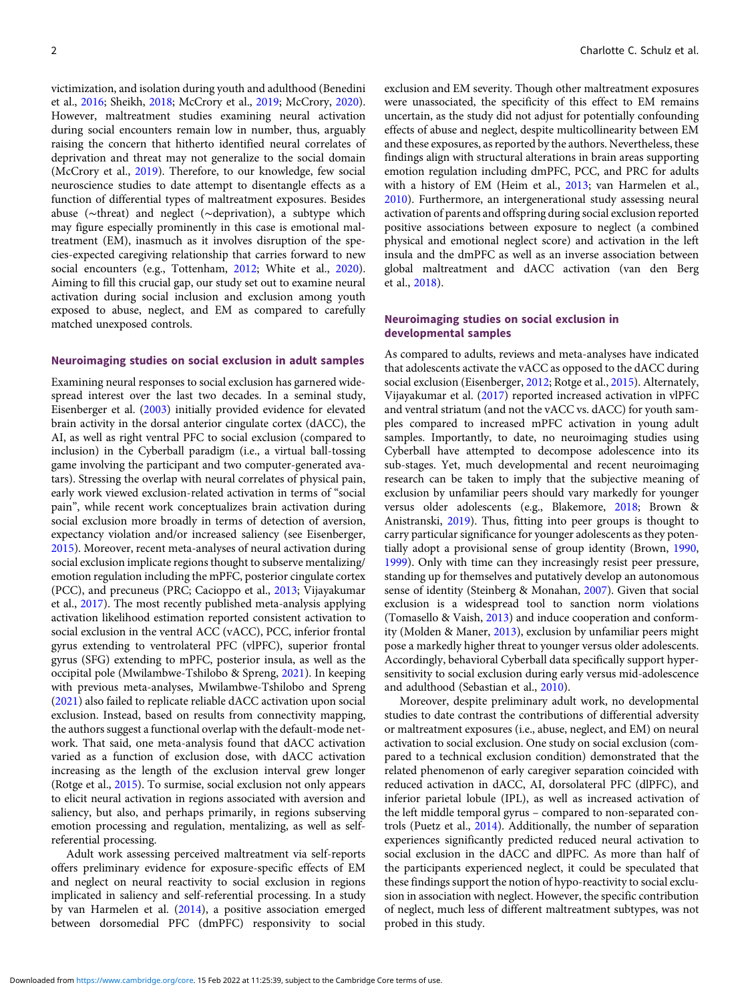victimization, and isolation during youth and adulthood (Benedini et al., [2016](#page-10-0); Sheikh, [2018](#page-11-0); McCrory et al., [2019](#page-11-0); McCrory, [2020](#page-11-0)). However, maltreatment studies examining neural activation during social encounters remain low in number, thus, arguably raising the concern that hitherto identified neural correlates of deprivation and threat may not generalize to the social domain (McCrory et al., [2019](#page-11-0)). Therefore, to our knowledge, few social neuroscience studies to date attempt to disentangle effects as a function of differential types of maltreatment exposures. Besides abuse (∼threat) and neglect (∼deprivation), a subtype which may figure especially prominently in this case is emotional maltreatment (EM), inasmuch as it involves disruption of the species-expected caregiving relationship that carries forward to new social encounters (e.g., Tottenham, [2012](#page-11-0); White et al., [2020](#page-12-0)). Aiming to fill this crucial gap, our study set out to examine neural activation during social inclusion and exclusion among youth exposed to abuse, neglect, and EM as compared to carefully matched unexposed controls.

## Neuroimaging studies on social exclusion in adult samples

Examining neural responses to social exclusion has garnered widespread interest over the last two decades. In a seminal study, Eisenberger et al. ([2003](#page-10-0)) initially provided evidence for elevated brain activity in the dorsal anterior cingulate cortex (dACC), the AI, as well as right ventral PFC to social exclusion (compared to inclusion) in the Cyberball paradigm (i.e., a virtual ball-tossing game involving the participant and two computer-generated avatars). Stressing the overlap with neural correlates of physical pain, early work viewed exclusion-related activation in terms of "social pain", while recent work conceptualizes brain activation during social exclusion more broadly in terms of detection of aversion, expectancy violation and/or increased saliency (see Eisenberger, [2015\)](#page-10-0). Moreover, recent meta-analyses of neural activation during social exclusion implicate regions thought to subserve mentalizing/ emotion regulation including the mPFC, posterior cingulate cortex (PCC), and precuneus (PRC; Cacioppo et al., [2013](#page-10-0); Vijayakumar et al., [2017\)](#page-12-0). The most recently published meta-analysis applying activation likelihood estimation reported consistent activation to social exclusion in the ventral ACC (vACC), PCC, inferior frontal gyrus extending to ventrolateral PFC (vlPFC), superior frontal gyrus (SFG) extending to mPFC, posterior insula, as well as the occipital pole (Mwilambwe-Tshilobo & Spreng, [2021](#page-11-0)). In keeping with previous meta-analyses, Mwilambwe-Tshilobo and Spreng ([2021](#page-11-0)) also failed to replicate reliable dACC activation upon social exclusion. Instead, based on results from connectivity mapping, the authors suggest a functional overlap with the default-mode network. That said, one meta-analysis found that dACC activation varied as a function of exclusion dose, with dACC activation increasing as the length of the exclusion interval grew longer (Rotge et al., [2015\)](#page-11-0). To surmise, social exclusion not only appears to elicit neural activation in regions associated with aversion and saliency, but also, and perhaps primarily, in regions subserving emotion processing and regulation, mentalizing, as well as selfreferential processing.

Adult work assessing perceived maltreatment via self-reports offers preliminary evidence for exposure-specific effects of EM and neglect on neural reactivity to social exclusion in regions implicated in saliency and self-referential processing. In a study by van Harmelen et al. [\(2014\)](#page-12-0), a positive association emerged between dorsomedial PFC (dmPFC) responsivity to social

exclusion and EM severity. Though other maltreatment exposures were unassociated, the specificity of this effect to EM remains uncertain, as the study did not adjust for potentially confounding effects of abuse and neglect, despite multicollinearity between EM and these exposures, as reported by the authors. Nevertheless, these findings align with structural alterations in brain areas supporting emotion regulation including dmPFC, PCC, and PRC for adults with a history of EM (Heim et al., [2013](#page-10-0); van Harmelen et al., [2010\)](#page-12-0). Furthermore, an intergenerational study assessing neural activation of parents and offspring during social exclusion reported positive associations between exposure to neglect (a combined physical and emotional neglect score) and activation in the left insula and the dmPFC as well as an inverse association between global maltreatment and dACC activation (van den Berg et al., [2018\)](#page-11-0).

#### Neuroimaging studies on social exclusion in developmental samples

As compared to adults, reviews and meta-analyses have indicated that adolescents activate the vACC as opposed to the dACC during social exclusion (Eisenberger, [2012;](#page-10-0) Rotge et al., [2015](#page-11-0)). Alternately, Vijayakumar et al. [\(2017](#page-12-0)) reported increased activation in vlPFC and ventral striatum (and not the vACC vs. dACC) for youth samples compared to increased mPFC activation in young adult samples. Importantly, to date, no neuroimaging studies using Cyberball have attempted to decompose adolescence into its sub-stages. Yet, much developmental and recent neuroimaging research can be taken to imply that the subjective meaning of exclusion by unfamiliar peers should vary markedly for younger versus older adolescents (e.g., Blakemore, [2018](#page-10-0); Brown & Anistranski, [2019](#page-10-0)). Thus, fitting into peer groups is thought to carry particular significance for younger adolescents as they potentially adopt a provisional sense of group identity (Brown, [1990](#page-10-0), [1999\)](#page-10-0). Only with time can they increasingly resist peer pressure, standing up for themselves and putatively develop an autonomous sense of identity (Steinberg & Monahan, [2007\)](#page-11-0). Given that social exclusion is a widespread tool to sanction norm violations (Tomasello & Vaish, [2013](#page-11-0)) and induce cooperation and conformity (Molden & Maner, [2013](#page-11-0)), exclusion by unfamiliar peers might pose a markedly higher threat to younger versus older adolescents. Accordingly, behavioral Cyberball data specifically support hypersensitivity to social exclusion during early versus mid-adolescence and adulthood (Sebastian et al., [2010](#page-11-0)).

Moreover, despite preliminary adult work, no developmental studies to date contrast the contributions of differential adversity or maltreatment exposures (i.e., abuse, neglect, and EM) on neural activation to social exclusion. One study on social exclusion (compared to a technical exclusion condition) demonstrated that the related phenomenon of early caregiver separation coincided with reduced activation in dACC, AI, dorsolateral PFC (dlPFC), and inferior parietal lobule (IPL), as well as increased activation of the left middle temporal gyrus – compared to non-separated controls (Puetz et al., [2014](#page-11-0)). Additionally, the number of separation experiences significantly predicted reduced neural activation to social exclusion in the dACC and dlPFC. As more than half of the participants experienced neglect, it could be speculated that these findings support the notion of hypo-reactivity to social exclusion in association with neglect. However, the specific contribution of neglect, much less of different maltreatment subtypes, was not probed in this study.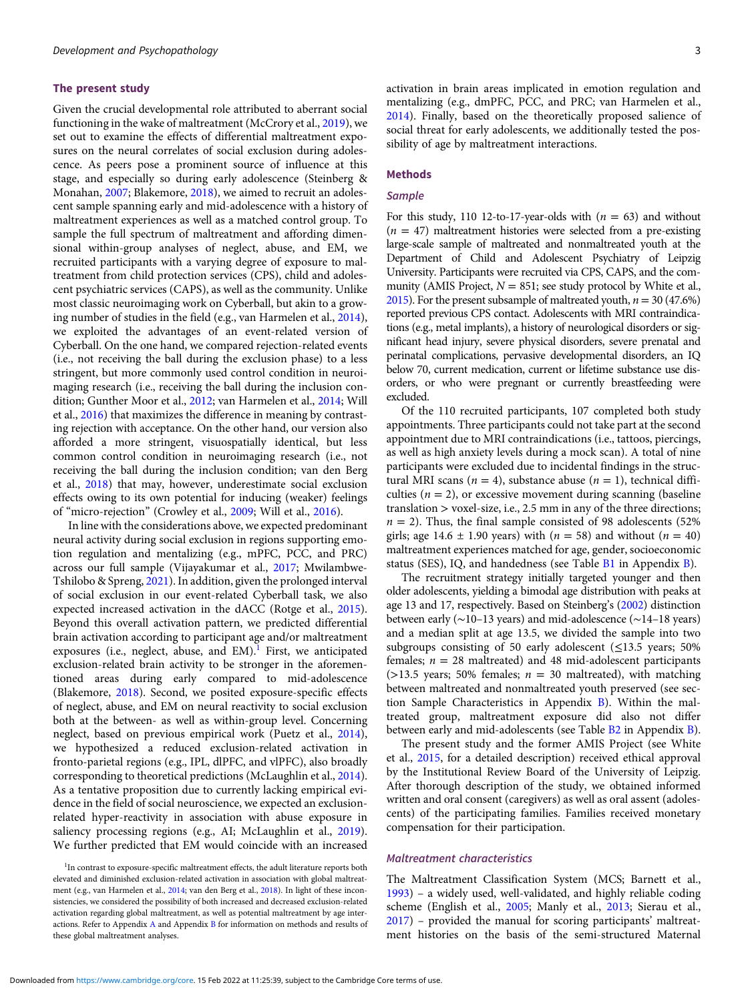#### The present study

Given the crucial developmental role attributed to aberrant social functioning in the wake of maltreatment (McCrory et al., [2019](#page-11-0)), we set out to examine the effects of differential maltreatment exposures on the neural correlates of social exclusion during adolescence. As peers pose a prominent source of influence at this stage, and especially so during early adolescence (Steinberg & Monahan, [2007](#page-11-0); Blakemore, [2018](#page-10-0)), we aimed to recruit an adolescent sample spanning early and mid-adolescence with a history of maltreatment experiences as well as a matched control group. To sample the full spectrum of maltreatment and affording dimensional within-group analyses of neglect, abuse, and EM, we recruited participants with a varying degree of exposure to maltreatment from child protection services (CPS), child and adolescent psychiatric services (CAPS), as well as the community. Unlike most classic neuroimaging work on Cyberball, but akin to a growing number of studies in the field (e.g., van Harmelen et al., [2014\)](#page-12-0), we exploited the advantages of an event-related version of Cyberball. On the one hand, we compared rejection-related events (i.e., not receiving the ball during the exclusion phase) to a less stringent, but more commonly used control condition in neuroimaging research (i.e., receiving the ball during the inclusion condition; Gunther Moor et al., [2012](#page-10-0); van Harmelen et al., [2014](#page-12-0); Will et al., [2016](#page-12-0)) that maximizes the difference in meaning by contrasting rejection with acceptance. On the other hand, our version also afforded a more stringent, visuospatially identical, but less common control condition in neuroimaging research (i.e., not receiving the ball during the inclusion condition; van den Berg et al., [2018\)](#page-11-0) that may, however, underestimate social exclusion effects owing to its own potential for inducing (weaker) feelings of "micro-rejection" (Crowley et al., [2009;](#page-10-0) Will et al., [2016](#page-12-0)).

In line with the considerations above, we expected predominant neural activity during social exclusion in regions supporting emotion regulation and mentalizing (e.g., mPFC, PCC, and PRC) across our full sample (Vijayakumar et al., [2017;](#page-12-0) Mwilambwe-Tshilobo & Spreng, [2021\)](#page-11-0). In addition, given the prolonged interval of social exclusion in our event-related Cyberball task, we also expected increased activation in the dACC (Rotge et al., [2015\)](#page-11-0). Beyond this overall activation pattern, we predicted differential brain activation according to participant age and/or maltreatment exposures (i.e., neglect, abuse, and EM).<sup>1</sup> First, we anticipated exclusion-related brain activity to be stronger in the aforementioned areas during early compared to mid-adolescence (Blakemore, [2018](#page-10-0)). Second, we posited exposure-specific effects of neglect, abuse, and EM on neural reactivity to social exclusion both at the between- as well as within-group level. Concerning neglect, based on previous empirical work (Puetz et al., [2014\)](#page-11-0), we hypothesized a reduced exclusion-related activation in fronto-parietal regions (e.g., IPL, dlPFC, and vlPFC), also broadly corresponding to theoretical predictions (McLaughlin et al., [2014\)](#page-11-0). As a tentative proposition due to currently lacking empirical evidence in the field of social neuroscience, we expected an exclusionrelated hyper-reactivity in association with abuse exposure in saliency processing regions (e.g., AI; McLaughlin et al., [2019\)](#page-11-0). We further predicted that EM would coincide with an increased

activation in brain areas implicated in emotion regulation and mentalizing (e.g., dmPFC, PCC, and PRC; van Harmelen et al., [2014](#page-12-0)). Finally, based on the theoretically proposed salience of social threat for early adolescents, we additionally tested the possibility of age by maltreatment interactions.

## Methods

#### **Sample**

For this study, 110 12-to-17-year-olds with  $(n = 63)$  and without  $(n = 47)$  maltreatment histories were selected from a pre-existing large-scale sample of maltreated and nonmaltreated youth at the Department of Child and Adolescent Psychiatry of Leipzig University. Participants were recruited via CPS, CAPS, and the community (AMIS Project,  $N = 851$ ; see study protocol by White et al., [2015](#page-12-0)). For the present subsample of maltreated youth,  $n = 30 (47.6%)$ reported previous CPS contact. Adolescents with MRI contraindications (e.g., metal implants), a history of neurological disorders or significant head injury, severe physical disorders, severe prenatal and perinatal complications, pervasive developmental disorders, an IQ below 70, current medication, current or lifetime substance use disorders, or who were pregnant or currently breastfeeding were excluded.

Of the 110 recruited participants, 107 completed both study appointments. Three participants could not take part at the second appointment due to MRI contraindications (i.e., tattoos, piercings, as well as high anxiety levels during a mock scan). A total of nine participants were excluded due to incidental findings in the structural MRI scans ( $n = 4$ ), substance abuse ( $n = 1$ ), technical difficulties ( $n = 2$ ), or excessive movement during scanning (baseline translation > voxel-size, i.e., 2.5 mm in any of the three directions;  $n = 2$ ). Thus, the final sample consisted of 98 adolescents (52%) girls; age 14.6  $\pm$  1.90 years) with ( $n = 58$ ) and without ( $n = 40$ ) maltreatment experiences matched for age, gender, socioeconomic status (SES), IQ, and handedness (see Table [B1](https://doi.org/10.1017/S0954579421001681) in Appendix [B\)](https://doi.org/10.1017/S0954579421001681).

The recruitment strategy initially targeted younger and then older adolescents, yielding a bimodal age distribution with peaks at age 13 and 17, respectively. Based on Steinberg's ([2002\)](#page-11-0) distinction between early (∼10–13 years) and mid-adolescence (∼14–18 years) and a median split at age 13.5, we divided the sample into two subgroups consisting of 50 early adolescent (<13.5 years; 50%) females;  $n = 28$  maltreated) and 48 mid-adolescent participants ( $>$ 13.5 years; 50% females;  $n = 30$  maltreated), with matching between maltreated and nonmaltreated youth preserved (see section Sample Characteristics in Appendix [B\)](https://doi.org/10.1017/S0954579421001681). Within the maltreated group, maltreatment exposure did also not differ between early and mid-adolescents (see Table [B2](https://doi.org/10.1017/S0954579421001681) in Appendix [B\)](https://doi.org/10.1017/S0954579421001681).

The present study and the former AMIS Project (see White et al., [2015,](#page-12-0) for a detailed description) received ethical approval by the Institutional Review Board of the University of Leipzig. After thorough description of the study, we obtained informed written and oral consent (caregivers) as well as oral assent (adolescents) of the participating families. Families received monetary compensation for their participation.

## Maltreatment characteristics

The Maltreatment Classification System (MCS; Barnett et al., [1993](#page-10-0)) – a widely used, well-validated, and highly reliable coding scheme (English et al., [2005;](#page-10-0) Manly et al., [2013;](#page-11-0) Sierau et al., [2017](#page-11-0)) – provided the manual for scoring participants' maltreatment histories on the basis of the semi-structured Maternal

<sup>&</sup>lt;sup>1</sup>In contrast to exposure-specific maltreatment effects, the adult literature reports both elevated and diminished exclusion-related activation in association with global maltreatment (e.g., van Harmelen et al., [2014](#page-12-0); van den Berg et al., [2018\)](#page-11-0). In light of these inconsistencies, we considered the possibility of both increased and decreased exclusion-related activation regarding global maltreatment, as well as potential maltreatment by age interactions. Refer to Appendix [A](https://doi.org/10.1017/S0954579421001681) and Appendix [B](https://doi.org/10.1017/S0954579421001681) for information on methods and results of these global maltreatment analyses.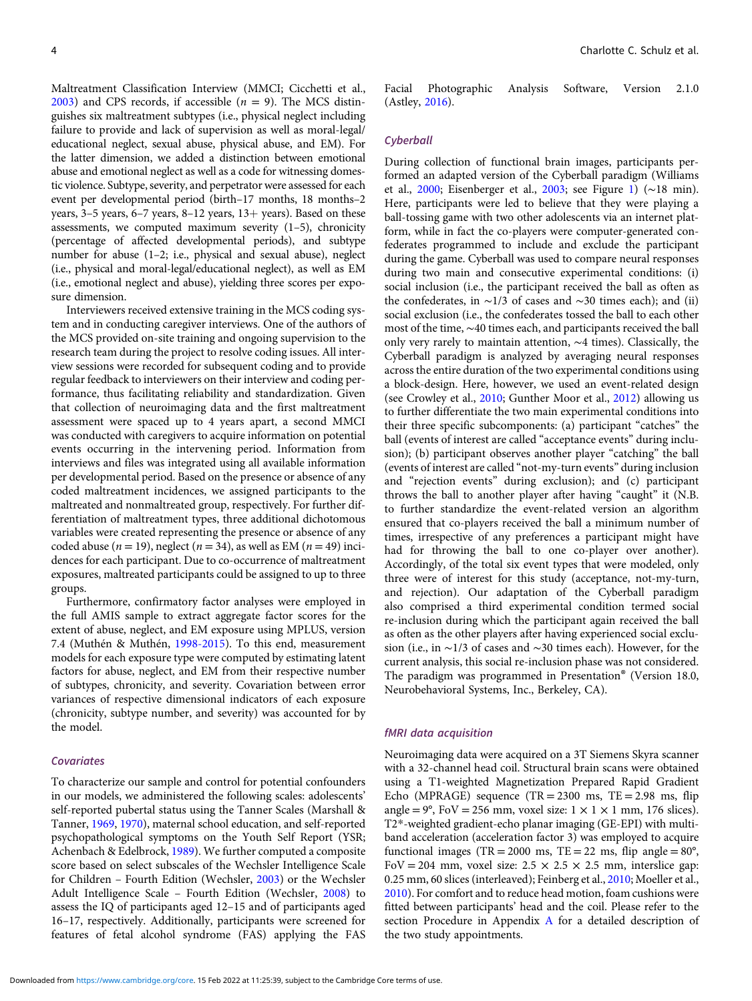Maltreatment Classification Interview (MMCI; Cicchetti et al.,  $2003$ ) and CPS records, if accessible ( $n = 9$ ). The MCS distinguishes six maltreatment subtypes (i.e., physical neglect including failure to provide and lack of supervision as well as moral-legal/ educational neglect, sexual abuse, physical abuse, and EM). For the latter dimension, we added a distinction between emotional abuse and emotional neglect as well as a code for witnessing domestic violence. Subtype, severity, and perpetrator were assessed for each event per developmental period (birth–17 months, 18 months–2 years,  $3-5$  years,  $6-7$  years,  $8-12$  years,  $13+$  years). Based on these assessments, we computed maximum severity (1–5), chronicity (percentage of affected developmental periods), and subtype number for abuse (1–2; i.e., physical and sexual abuse), neglect (i.e., physical and moral-legal/educational neglect), as well as EM (i.e., emotional neglect and abuse), yielding three scores per exposure dimension.

Interviewers received extensive training in the MCS coding system and in conducting caregiver interviews. One of the authors of the MCS provided on-site training and ongoing supervision to the research team during the project to resolve coding issues. All interview sessions were recorded for subsequent coding and to provide regular feedback to interviewers on their interview and coding performance, thus facilitating reliability and standardization. Given that collection of neuroimaging data and the first maltreatment assessment were spaced up to 4 years apart, a second MMCI was conducted with caregivers to acquire information on potential events occurring in the intervening period. Information from interviews and files was integrated using all available information per developmental period. Based on the presence or absence of any coded maltreatment incidences, we assigned participants to the maltreated and nonmaltreated group, respectively. For further differentiation of maltreatment types, three additional dichotomous variables were created representing the presence or absence of any coded abuse ( $n = 19$ ), neglect ( $n = 34$ ), as well as EM ( $n = 49$ ) incidences for each participant. Due to co-occurrence of maltreatment exposures, maltreated participants could be assigned to up to three groups.

Furthermore, confirmatory factor analyses were employed in the full AMIS sample to extract aggregate factor scores for the extent of abuse, neglect, and EM exposure using MPLUS, version 7.4 (Muthén & Muthén, [1998-2015](#page-11-0)). To this end, measurement models for each exposure type were computed by estimating latent factors for abuse, neglect, and EM from their respective number of subtypes, chronicity, and severity. Covariation between error variances of respective dimensional indicators of each exposure (chronicity, subtype number, and severity) was accounted for by the model.

## **Covariates**

To characterize our sample and control for potential confounders in our models, we administered the following scales: adolescents' self-reported pubertal status using the Tanner Scales (Marshall & Tanner, [1969,](#page-11-0) [1970](#page-11-0)), maternal school education, and self-reported psychopathological symptoms on the Youth Self Report (YSR; Achenbach & Edelbrock, [1989\)](#page-10-0). We further computed a composite score based on select subscales of the Wechsler Intelligence Scale for Children – Fourth Edition (Wechsler, [2003](#page-12-0)) or the Wechsler Adult Intelligence Scale – Fourth Edition (Wechsler, [2008](#page-12-0)) to assess the IQ of participants aged 12–15 and of participants aged 16–17, respectively. Additionally, participants were screened for features of fetal alcohol syndrome (FAS) applying the FAS Facial Photographic Analysis Software, Version 2.1.0 (Astley, [2016\)](#page-10-0).

## **Cyberball**

During collection of functional brain images, participants performed an adapted version of the Cyberball paradigm (Williams et al., [2000;](#page-12-0) Eisenberger et al., [2003;](#page-10-0) see Figure [1](#page-4-0)) (∼18 min). Here, participants were led to believe that they were playing a ball-tossing game with two other adolescents via an internet platform, while in fact the co-players were computer-generated confederates programmed to include and exclude the participant during the game. Cyberball was used to compare neural responses during two main and consecutive experimental conditions: (i) social inclusion (i.e., the participant received the ball as often as the confederates, in ∼1/3 of cases and ∼30 times each); and (ii) social exclusion (i.e., the confederates tossed the ball to each other most of the time, ∼40 times each, and participants received the ball only very rarely to maintain attention, ∼4 times). Classically, the Cyberball paradigm is analyzed by averaging neural responses across the entire duration of the two experimental conditions using a block-design. Here, however, we used an event-related design (see Crowley et al., [2010](#page-10-0); Gunther Moor et al., [2012\)](#page-10-0) allowing us to further differentiate the two main experimental conditions into their three specific subcomponents: (a) participant "catches" the ball (events of interest are called "acceptance events" during inclusion); (b) participant observes another player "catching" the ball (events of interest are called "not-my-turn events" during inclusion and "rejection events" during exclusion); and (c) participant throws the ball to another player after having "caught" it (N.B. to further standardize the event-related version an algorithm ensured that co-players received the ball a minimum number of times, irrespective of any preferences a participant might have had for throwing the ball to one co-player over another). Accordingly, of the total six event types that were modeled, only three were of interest for this study (acceptance, not-my-turn, and rejection). Our adaptation of the Cyberball paradigm also comprised a third experimental condition termed social re-inclusion during which the participant again received the ball as often as the other players after having experienced social exclusion (i.e., in ∼1/3 of cases and ∼30 times each). However, for the current analysis, this social re-inclusion phase was not considered. The paradigm was programmed in Presentation® (Version 18.0, Neurobehavioral Systems, Inc., Berkeley, CA).

#### fMRI data acquisition

Neuroimaging data were acquired on a 3T Siemens Skyra scanner with a 32-channel head coil. Structural brain scans were obtained using a T1-weighted Magnetization Prepared Rapid Gradient Echo (MPRAGE) sequence (TR =  $2300$  ms, TE =  $2.98$  ms, flip angle =  $9^\circ$ , FoV = 256 mm, voxel size:  $1 \times 1 \times 1$  mm, 176 slices). T2\*-weighted gradient-echo planar imaging (GE-EPI) with multiband acceleration (acceleration factor 3) was employed to acquire functional images (TR = 2000 ms, TE = 22 ms, flip angle =  $80^{\circ}$ , FoV = 204 mm, voxel size:  $2.5 \times 2.5 \times 2.5$  mm, interslice gap: 0.25 mm, 60 slices (interleaved); Feinberg et al., [2010](#page-10-0); Moeller et al., [2010\)](#page-11-0). For comfort and to reduce head motion, foam cushions were fitted between participants' head and the coil. Please refer to the section Procedure in Appendix [A](https://doi.org/10.1017/S0954579421001681) for a detailed description of the two study appointments.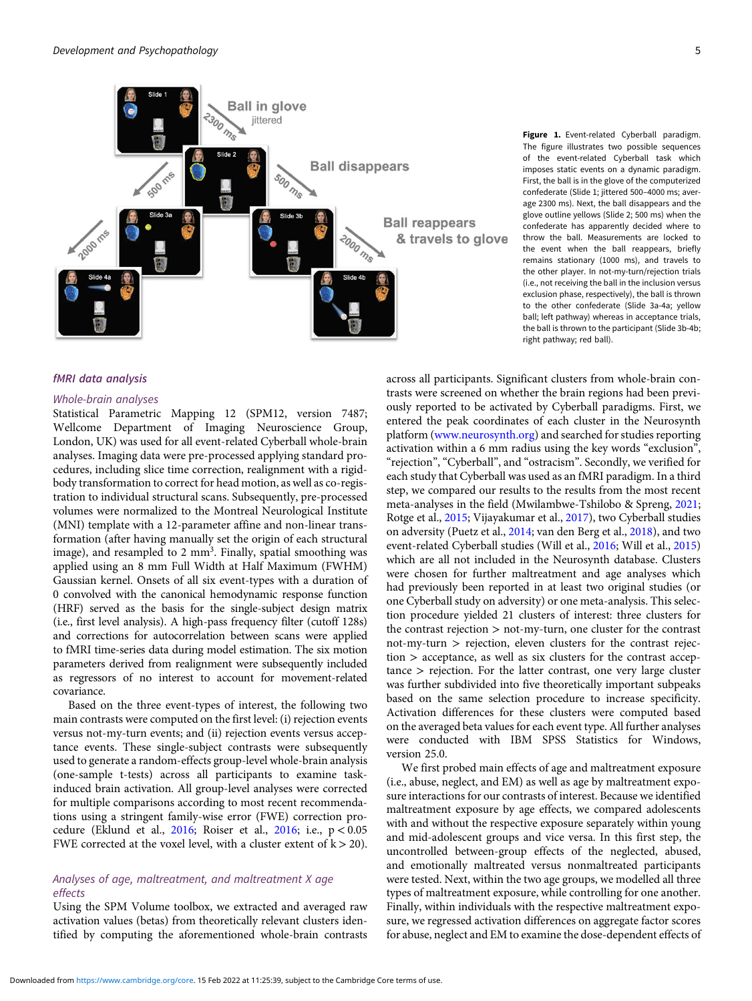<span id="page-4-0"></span>

Figure 1. Event-related Cyberball paradigm. The figure illustrates two possible sequences of the event-related Cyberball task which imposes static events on a dynamic paradigm. First, the ball is in the glove of the computerized confederate (Slide 1; jittered 500–4000 ms; average 2300 ms). Next, the ball disappears and the glove outline yellows (Slide 2; 500 ms) when the confederate has apparently decided where to throw the ball. Measurements are locked to the event when the ball reappears, briefly remains stationary (1000 ms), and travels to the other player. In not-my-turn/rejection trials (i.e., not receiving the ball in the inclusion versus exclusion phase, respectively), the ball is thrown to the other confederate (Slide 3a-4a; yellow ball; left pathway) whereas in acceptance trials, the ball is thrown to the participant (Slide 3b-4b; right pathway; red ball).

## fMRI data analysis

## Whole-brain analyses

Statistical Parametric Mapping 12 (SPM12, version 7487; Wellcome Department of Imaging Neuroscience Group, London, UK) was used for all event-related Cyberball whole-brain analyses. Imaging data were pre-processed applying standard procedures, including slice time correction, realignment with a rigidbody transformation to correct for head motion, as well as co-registration to individual structural scans. Subsequently, pre-processed volumes were normalized to the Montreal Neurological Institute (MNI) template with a 12-parameter affine and non-linear transformation (after having manually set the origin of each structural image), and resampled to 2 mm<sup>3</sup>. Finally, spatial smoothing was applied using an 8 mm Full Width at Half Maximum (FWHM) Gaussian kernel. Onsets of all six event-types with a duration of 0 convolved with the canonical hemodynamic response function (HRF) served as the basis for the single-subject design matrix (i.e., first level analysis). A high-pass frequency filter (cutoff 128s) and corrections for autocorrelation between scans were applied to fMRI time-series data during model estimation. The six motion parameters derived from realignment were subsequently included as regressors of no interest to account for movement-related covariance.

Based on the three event-types of interest, the following two main contrasts were computed on the first level: (i) rejection events versus not-my-turn events; and (ii) rejection events versus acceptance events. These single-subject contrasts were subsequently used to generate a random-effects group-level whole-brain analysis (one-sample t-tests) across all participants to examine taskinduced brain activation. All group-level analyses were corrected for multiple comparisons according to most recent recommendations using a stringent family-wise error (FWE) correction procedure (Eklund et al., [2016;](#page-10-0) Roiser et al., [2016](#page-11-0); i.e., p < 0.05 FWE corrected at the voxel level, with a cluster extent of  $k > 20$ ).

## Analyses of age, maltreatment, and maltreatment X age effects

Using the SPM Volume toolbox, we extracted and averaged raw activation values (betas) from theoretically relevant clusters identified by computing the aforementioned whole-brain contrasts across all participants. Significant clusters from whole-brain contrasts were screened on whether the brain regions had been previously reported to be activated by Cyberball paradigms. First, we entered the peak coordinates of each cluster in the Neurosynth platform [\(www.neurosynth.org](http://www.neurosynth.org)) and searched for studies reporting activation within a 6 mm radius using the key words "exclusion", "rejection", "Cyberball", and "ostracism". Secondly, we verified for each study that Cyberball was used as an fMRI paradigm. In a third step, we compared our results to the results from the most recent meta-analyses in the field (Mwilambwe-Tshilobo & Spreng, [2021;](#page-11-0) Rotge et al., [2015](#page-11-0); Vijayakumar et al., [2017](#page-12-0)), two Cyberball studies on adversity (Puetz et al., [2014](#page-11-0); van den Berg et al., [2018\)](#page-11-0), and two event-related Cyberball studies (Will et al., [2016;](#page-12-0) Will et al., [2015\)](#page-12-0) which are all not included in the Neurosynth database. Clusters were chosen for further maltreatment and age analyses which had previously been reported in at least two original studies (or one Cyberball study on adversity) or one meta-analysis. This selection procedure yielded 21 clusters of interest: three clusters for the contrast rejection > not-my-turn, one cluster for the contrast  $not-my-turn$  > rejection, eleven clusters for the contrast rejection > acceptance, as well as six clusters for the contrast acceptance > rejection. For the latter contrast, one very large cluster was further subdivided into five theoretically important subpeaks based on the same selection procedure to increase specificity. Activation differences for these clusters were computed based on the averaged beta values for each event type. All further analyses were conducted with IBM SPSS Statistics for Windows, version 25.0.

We first probed main effects of age and maltreatment exposure (i.e., abuse, neglect, and EM) as well as age by maltreatment exposure interactions for our contrasts of interest. Because we identified maltreatment exposure by age effects, we compared adolescents with and without the respective exposure separately within young and mid-adolescent groups and vice versa. In this first step, the uncontrolled between-group effects of the neglected, abused, and emotionally maltreated versus nonmaltreated participants were tested. Next, within the two age groups, we modelled all three types of maltreatment exposure, while controlling for one another. Finally, within individuals with the respective maltreatment exposure, we regressed activation differences on aggregate factor scores for abuse, neglect and EM to examine the dose-dependent effects of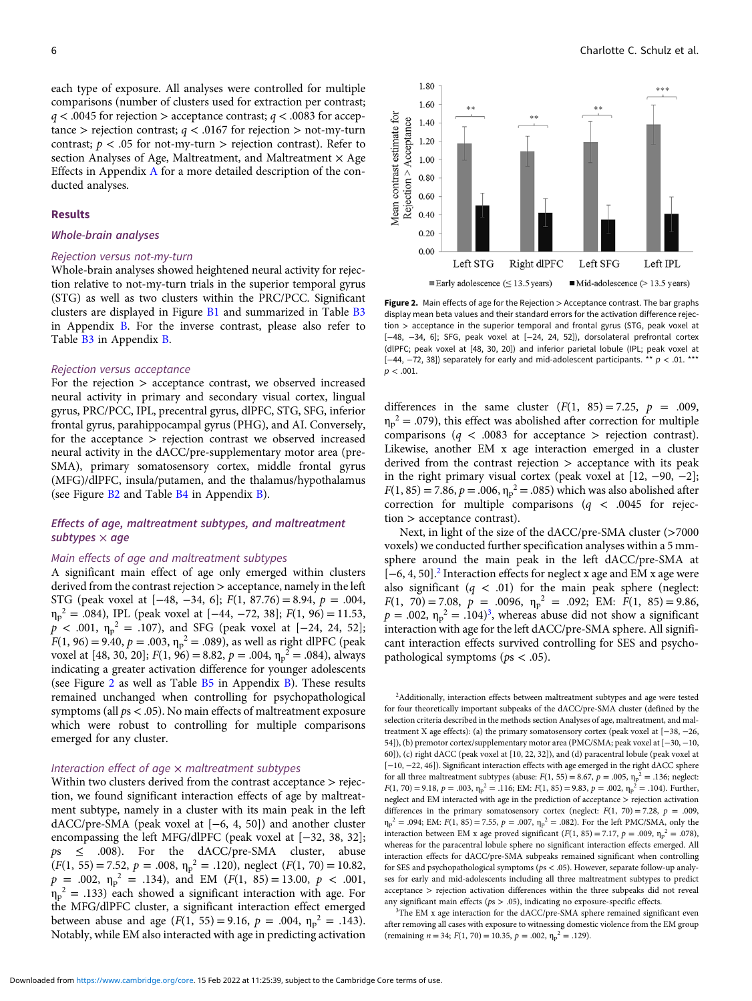each type of exposure. All analyses were controlled for multiple comparisons (number of clusters used for extraction per contrast;  $q < .0045$  for rejection  $>$  acceptance contrast;  $q < .0083$  for acceptance > rejection contrast;  $q < .0167$  for rejection > not-my-turn contrast;  $p < .05$  for not-my-turn > rejection contrast). Refer to section Analyses of Age, Maltreatment, and Maltreatment  $\times$  Age Effects in Appendix [A](https://doi.org/10.1017/S0954579421001681) for a more detailed description of the conducted analyses.

#### Results

#### Whole-brain analyses

### Rejection versus not-my-turn

Whole-brain analyses showed heightened neural activity for rejection relative to not-my-turn trials in the superior temporal gyrus (STG) as well as two clusters within the PRC/PCC. Significant clusters are displayed in Figure [B1](https://doi.org/10.1017/S0954579421001681) and summarized in Table [B3](https://doi.org/10.1017/S0954579421001681) in Appendix [B.](https://doi.org/10.1017/S0954579421001681) For the inverse contrast, please also refer to Table [B3](https://doi.org/10.1017/S0954579421001681) in Appendix [B.](https://doi.org/10.1017/S0954579421001681)

#### Rejection versus acceptance

For the rejection > acceptance contrast, we observed increased neural activity in primary and secondary visual cortex, lingual gyrus, PRC/PCC, IPL, precentral gyrus, dlPFC, STG, SFG, inferior frontal gyrus, parahippocampal gyrus (PHG), and AI. Conversely, for the acceptance > rejection contrast we observed increased neural activity in the dACC/pre-supplementary motor area (pre-SMA), primary somatosensory cortex, middle frontal gyrus (MFG)/dlPFC, insula/putamen, and the thalamus/hypothalamus (see Figure [B2](https://doi.org/10.1017/S0954579421001681) and Table [B4](https://doi.org/10.1017/S0954579421001681) in Appendix [B](https://doi.org/10.1017/S0954579421001681)).

## Effects of age, maltreatment subtypes, and maltreatment subtypes  $\times$  age

## Main effects of age and maltreatment subtypes

A significant main effect of age only emerged within clusters derived from the contrast rejection > acceptance, namely in the left STG (peak voxel at  $[-48, -34, 6]$ ;  $F(1, 87.76) = 8.94$ ,  $p = .004$ ,  $\eta_p^2 = .084$ ), IPL (peak voxel at [−44, −72, 38];  $F(1, 96) = 11.53$ ,  $p < .001$ ,  $\eta_p^2 = .107$ ), and SFG (peak voxel at [-24, 24, 52];  $F(1, 96) = 9.40, p = .003, \eta_p^2 = .089$ , as well as right dlPFC (peak voxel at [48, 30, 20];  $F(1, 96) = 8.82$ ,  $p = .004$ ,  $\eta_p^2 = .084$ ), always indicating a greater activation difference for younger adolescents (see Figure 2 as well as Table  $\overline{B5}$  $\overline{B5}$  $\overline{B5}$  in Appendix  $\overline{B}$  $\overline{B}$  $\overline{B}$ ). These results remained unchanged when controlling for psychopathological symptoms (all ps < .05). No main effects of maltreatment exposure which were robust to controlling for multiple comparisons emerged for any cluster.

## Interaction effect of age  $\times$  maltreatment subtypes

Within two clusters derived from the contrast acceptance > rejection, we found significant interaction effects of age by maltreatment subtype, namely in a cluster with its main peak in the left dACC/pre-SMA (peak voxel at [−6, 4, 50]) and another cluster encompassing the left MFG/dlPFC (peak voxel at [−32, 38, 32];  $ps \leq .008$ ). For the dACC/pre-SMA cluster, abuse  $(F(1, 55) = 7.52, p = .008, \eta_p^2 = .120)$ , neglect  $(F(1, 70) = 10.82,$  $p = .002$ ,  $\eta_p^2 = .134$ ), and EM ( $F(1, 85) = 13.00$ ,  $p < .001$ ,  $\eta_p^2$  = .133) each showed a significant interaction with age. For the MFG/dlPFC cluster, a significant interaction effect emerged between abuse and age ( $F(1, 55) = 9.16$ ,  $p = .004$ ,  $\eta_p^2 = .143$ ). Notably, while EM also interacted with age in predicting activation



Figure 2. Main effects of age for the Rejection > Acceptance contrast. The bar graphs display mean beta values and their standard errors for the activation difference rejection > acceptance in the superior temporal and frontal gyrus (STG, peak voxel at [−48, −34, 6]; SFG, peak voxel at [−24, 24, 52]), dorsolateral prefrontal cortex (dlPFC; peak voxel at [48, 30, 20]) and inferior parietal lobule (IPL; peak voxel at [-44, -72, 38]) separately for early and mid-adolescent participants. \*\* p < .01. \*\*\*  $p < .001$ .

differences in the same cluster  $(F(1, 85) = 7.25, p = .009,$  $\eta_p^2$  = .079), this effect was abolished after correction for multiple comparisons ( $q < .0083$  for acceptance > rejection contrast). Likewise, another EM x age interaction emerged in a cluster derived from the contrast rejection > acceptance with its peak in the right primary visual cortex (peak voxel at [12, −90, −2];  $F(1, 85) = 7.86, p = .006, \eta_p^2 = .085$  which was also abolished after correction for multiple comparisons ( $q < .0045$  for rejection > acceptance contrast).

Next, in light of the size of the dACC/pre-SMA cluster (>7000 voxels) we conducted further specification analyses within a 5 mmsphere around the main peak in the left dACC/pre-SMA at [−6, 4, 50].<sup>2</sup> Interaction effects for neglect x age and EM x age were also significant  $(q < .01)$  for the main peak sphere (neglect:  $F(1, 70) = 7.08, p = .0096, \eta_p^2 = .092; \text{ EM: } F(1, 85) = 9.86,$  $p = .002$ ,  $\eta_p^2 = .104)^3$ , whereas abuse did not show a significant interaction with age for the left dACC/pre-SMA sphere. All significant interaction effects survived controlling for SES and psychopathological symptoms ( $ps < .05$ ).

<sup>2</sup>Additionally, interaction effects between maltreatment subtypes and age were tested for four theoretically important subpeaks of the dACC/pre-SMA cluster (defined by the selection criteria described in the methods section Analyses of age, maltreatment, and maltreatment X age effects): (a) the primary somatosensory cortex (peak voxel at [−38, −26, 54]), (b) premotor cortex/supplementary motor area (PMC/SMA; peak voxel at [−30, −10, 60]), (c) right dACC (peak voxel at [10, 22, 32]), and (d) paracentral lobule (peak voxel at [−10, −22, 46]). Significant interaction effects with age emerged in the right dACC sphere for all three maltreatment subtypes (abuse:  $F(1, 55) = 8.67$ ,  $p = .005$ ,  $\eta_p^2 = .136$ ; neglect:  $F(1, 70) = 9.18$ ,  $p = .003$ ,  $\eta_p^2 = .116$ ; EM:  $F(1, 85) = 9.83$ ,  $p = .002$ ,  $\eta_p^2 = .104$ ). Further, neglect and EM interacted with age in the prediction of acceptance > rejection activation differences in the primary somatosensory cortex (neglect:  $F(1, 70) = 7.28$ ,  $p = .009$ ,  $\eta_p^2 = .094$ ; EM:  $F(1, 85) = 7.55$ ,  $p = .007$ ,  $\eta_p^2 = .082$ ). For the left PMC/SMA, only the interaction between EM x age proved significant  $(F(1, 85) = 7.17, p = .009, \eta_p^2 = .078)$ whereas for the paracentral lobule sphere no significant interaction effects emerged. All interaction effects for dACC/pre-SMA subpeaks remained significant when controlling for SES and psychopathological symptoms (ps < .05). However, separate follow-up analyses for early and mid-adolescents including all three maltreatment subtypes to predict acceptance > rejection activation differences within the three subpeaks did not reveal any significant main effects (ps > .05), indicating no exposure-specific effects.

<sup>3</sup>The EM x age interaction for the dACC/pre-SMA sphere remained significant even after removing all cases with exposure to witnessing domestic violence from the EM group (remaining  $n = 34$ ;  $F(1, 70) = 10.35$ ,  $p = .002$ ,  $\eta_p^2 = .129$ ).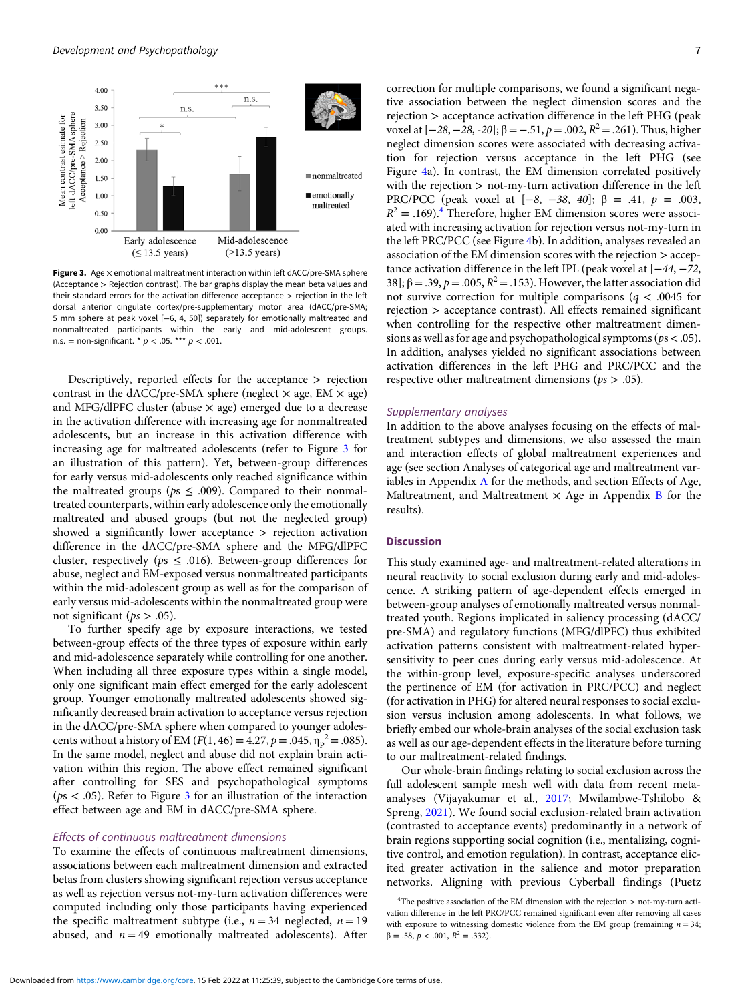

Figure 3. Age  $\times$  emotional maltreatment interaction within left dACC/pre-SMA sphere (Acceptance > Rejection contrast). The bar graphs display the mean beta values and their standard errors for the activation difference acceptance > rejection in the left dorsal anterior cingulate cortex/pre-supplementary motor area (dACC/pre-SMA; 5 mm sphere at peak voxel [−6, 4, 50]) separately for emotionally maltreated and nonmaltreated participants within the early and mid-adolescent groups. n.s. = non-significant. \*  $p < .05$ . \*\*\*  $p < .001$ .

Descriptively, reported effects for the acceptance > rejection contrast in the dACC/pre-SMA sphere (neglect  $\times$  age, EM  $\times$  age) and MFG/dlPFC cluster (abuse  $\times$  age) emerged due to a decrease in the activation difference with increasing age for nonmaltreated adolescents, but an increase in this activation difference with increasing age for maltreated adolescents (refer to Figure 3 for an illustration of this pattern). Yet, between-group differences for early versus mid-adolescents only reached significance within the maltreated groups ( $ps \leq .009$ ). Compared to their nonmaltreated counterparts, within early adolescence only the emotionally maltreated and abused groups (but not the neglected group) showed a significantly lower acceptance > rejection activation difference in the dACC/pre-SMA sphere and the MFG/dlPFC cluster, respectively ( $ps \leq .016$ ). Between-group differences for abuse, neglect and EM-exposed versus nonmaltreated participants within the mid-adolescent group as well as for the comparison of early versus mid-adolescents within the nonmaltreated group were not significant ( $ps > .05$ ).

To further specify age by exposure interactions, we tested between-group effects of the three types of exposure within early and mid-adolescence separately while controlling for one another. When including all three exposure types within a single model, only one significant main effect emerged for the early adolescent group. Younger emotionally maltreated adolescents showed significantly decreased brain activation to acceptance versus rejection in the dACC/pre-SMA sphere when compared to younger adolescents without a history of EM ( $F(1, 46) = 4.27$ ,  $p = .045$ ,  $\eta_p^2 = .085$ ). In the same model, neglect and abuse did not explain brain activation within this region. The above effect remained significant after controlling for SES and psychopathological symptoms ( $ps < .05$ ). Refer to Figure 3 for an illustration of the interaction effect between age and EM in dACC/pre-SMA sphere.

## Effects of continuous maltreatment dimensions

To examine the effects of continuous maltreatment dimensions, associations between each maltreatment dimension and extracted betas from clusters showing significant rejection versus acceptance as well as rejection versus not-my-turn activation differences were computed including only those participants having experienced the specific maltreatment subtype (i.e.,  $n = 34$  neglected,  $n = 19$ abused, and  $n = 49$  emotionally maltreated adolescents). After correction for multiple comparisons, we found a significant negative association between the neglect dimension scores and the rejection > acceptance activation difference in the left PHG (peak voxel at  $[-28, -28, -20]$ ; β = −.51, p = .002,  $R^2$  = .261). Thus, higher neglect dimension scores were associated with decreasing activation for rejection versus acceptance in the left PHG (see Figure [4](#page-7-0)a). In contrast, the EM dimension correlated positively with the rejection > not-my-turn activation difference in the left PRC/PCC (peak voxel at [−8, −38, 40]; β = .41,  $p = .003$ ,  $R^2 = .169$ .<sup>4</sup> Therefore, higher EM dimension scores were associated with increasing activation for rejection versus not-my-turn in the left PRC/PCC (see Figure [4](#page-7-0)b). In addition, analyses revealed an association of the EM dimension scores with the rejection > acceptance activation difference in the left IPL (peak voxel at [−44, −72, 38]; β = .39, p = .005,  $R^2$  = .153). However, the latter association did not survive correction for multiple comparisons ( $q < .0045$  for rejection > acceptance contrast). All effects remained significant when controlling for the respective other maltreatment dimensions as well as for age and psychopathological symptoms ( $ps$  < .05). In addition, analyses yielded no significant associations between activation differences in the left PHG and PRC/PCC and the respective other maltreatment dimensions ( $ps > .05$ ).

#### Supplementary analyses

In addition to the above analyses focusing on the effects of maltreatment subtypes and dimensions, we also assessed the main and interaction effects of global maltreatment experiences and age (see section Analyses of categorical age and maltreatment variables in Appendix [A](https://doi.org/10.1017/S0954579421001681) for the methods, and section Effects of Age, Maltreatment, and Maltreatment  $\times$  Age in Appendix [B](https://doi.org/10.1017/S0954579421001681) for the results).

## Discussion

This study examined age- and maltreatment-related alterations in neural reactivity to social exclusion during early and mid-adolescence. A striking pattern of age-dependent effects emerged in between-group analyses of emotionally maltreated versus nonmaltreated youth. Regions implicated in saliency processing (dACC/ pre-SMA) and regulatory functions (MFG/dlPFC) thus exhibited activation patterns consistent with maltreatment-related hypersensitivity to peer cues during early versus mid-adolescence. At the within-group level, exposure-specific analyses underscored the pertinence of EM (for activation in PRC/PCC) and neglect (for activation in PHG) for altered neural responses to social exclusion versus inclusion among adolescents. In what follows, we briefly embed our whole-brain analyses of the social exclusion task as well as our age-dependent effects in the literature before turning to our maltreatment-related findings.

Our whole-brain findings relating to social exclusion across the full adolescent sample mesh well with data from recent metaanalyses (Vijayakumar et al., [2017](#page-12-0); Mwilambwe-Tshilobo & Spreng, [2021](#page-11-0)). We found social exclusion-related brain activation (contrasted to acceptance events) predominantly in a network of brain regions supporting social cognition (i.e., mentalizing, cognitive control, and emotion regulation). In contrast, acceptance elicited greater activation in the salience and motor preparation networks. Aligning with previous Cyberball findings (Puetz

<sup>4</sup> The positive association of the EM dimension with the rejection > not-my-turn activation difference in the left PRC/PCC remained significant even after removing all cases with exposure to witnessing domestic violence from the EM group (remaining  $n = 34$ ;  $\beta = .58, p < .001, R^2 = .332$ .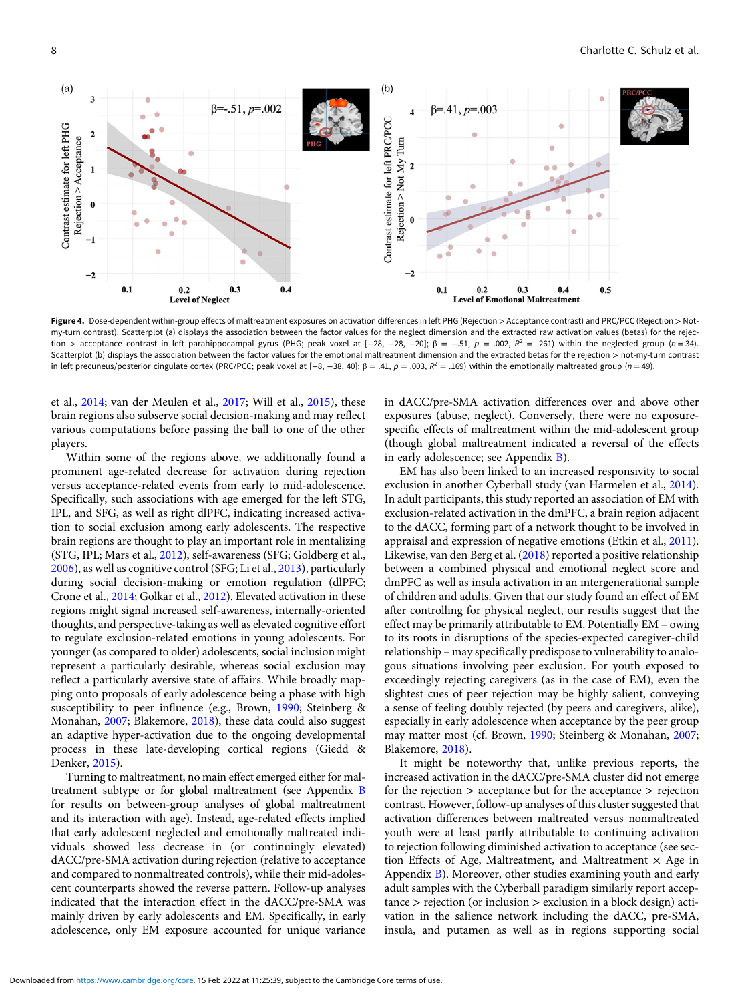<span id="page-7-0"></span>

Figure 4. Dose-dependent within-group effects of maltreatment exposures on activation differences in left PHG (Rejection > Acceptance contrast) and PRC/PCC (Rejection > Notmy-turn contrast). Scatterplot (a) displays the association between the factor values for the neglect dimension and the extracted raw activation values (betas) for the rejection > acceptance contrast in left parahippocampal gyrus (PHG; peak voxel at  $[-28, -28, -20]$ ;  $\beta = -.51$ ,  $p = .002$ ,  $R^2 = .261$ ) within the neglected group (n = 34). Scatterplot (b) displays the association between the factor values for the emotional maltreatment dimension and the extracted betas for the rejection > not-my-turn contrast in left precuneus/posterior cingulate cortex (PRC/PCC; peak voxel at  $[-8, -38, 40]$ ;  $\beta = .41$ ,  $p = .003$ ,  $R^2 = .169$ ) within the emotionally maltreated group (n = 49).

et al., [2014;](#page-11-0) van der Meulen et al., [2017;](#page-12-0) Will et al., [2015\)](#page-12-0), these brain regions also subserve social decision-making and may reflect various computations before passing the ball to one of the other players.

Within some of the regions above, we additionally found a prominent age-related decrease for activation during rejection versus acceptance-related events from early to mid-adolescence. Specifically, such associations with age emerged for the left STG, IPL, and SFG, as well as right dlPFC, indicating increased activation to social exclusion among early adolescents. The respective brain regions are thought to play an important role in mentalizing (STG, IPL; Mars et al., [2012\)](#page-11-0), self-awareness (SFG; Goldberg et al., [2006\)](#page-10-0), as well as cognitive control (SFG; Li et al., [2013\)](#page-11-0), particularly during social decision-making or emotion regulation (dlPFC; Crone et al., [2014](#page-10-0); Golkar et al., [2012](#page-10-0)). Elevated activation in these regions might signal increased self-awareness, internally-oriented thoughts, and perspective-taking as well as elevated cognitive effort to regulate exclusion-related emotions in young adolescents. For younger (as compared to older) adolescents, social inclusion might represent a particularly desirable, whereas social exclusion may reflect a particularly aversive state of affairs. While broadly mapping onto proposals of early adolescence being a phase with high susceptibility to peer influence (e.g., Brown, [1990;](#page-10-0) Steinberg & Monahan, [2007;](#page-11-0) Blakemore, [2018\)](#page-10-0), these data could also suggest an adaptive hyper-activation due to the ongoing developmental process in these late-developing cortical regions (Giedd & Denker, [2015\)](#page-10-0).

Turning to maltreatment, no main effect emerged either for maltreatment subtype or for global maltreatment (see Appendix [B](https://doi.org/10.1017/S0954579421001681) for results on between-group analyses of global maltreatment and its interaction with age). Instead, age-related effects implied that early adolescent neglected and emotionally maltreated individuals showed less decrease in (or continuingly elevated) dACC/pre-SMA activation during rejection (relative to acceptance and compared to nonmaltreated controls), while their mid-adolescent counterparts showed the reverse pattern. Follow-up analyses indicated that the interaction effect in the dACC/pre-SMA was mainly driven by early adolescents and EM. Specifically, in early adolescence, only EM exposure accounted for unique variance

in dACC/pre-SMA activation differences over and above other exposures (abuse, neglect). Conversely, there were no exposurespecific effects of maltreatment within the mid-adolescent group (though global maltreatment indicated a reversal of the effects in early adolescence; see Appendix [B\)](https://doi.org/10.1017/S0954579421001681).

EM has also been linked to an increased responsivity to social exclusion in another Cyberball study (van Harmelen et al., [2014](#page-12-0)). In adult participants, this study reported an association of EM with exclusion-related activation in the dmPFC, a brain region adjacent to the dACC, forming part of a network thought to be involved in appraisal and expression of negative emotions (Etkin et al., [2011](#page-10-0)). Likewise, van den Berg et al. ([2018\)](#page-11-0) reported a positive relationship between a combined physical and emotional neglect score and dmPFC as well as insula activation in an intergenerational sample of children and adults. Given that our study found an effect of EM after controlling for physical neglect, our results suggest that the effect may be primarily attributable to EM. Potentially EM – owing to its roots in disruptions of the species-expected caregiver-child relationship – may specifically predispose to vulnerability to analogous situations involving peer exclusion. For youth exposed to exceedingly rejecting caregivers (as in the case of EM), even the slightest cues of peer rejection may be highly salient, conveying a sense of feeling doubly rejected (by peers and caregivers, alike), especially in early adolescence when acceptance by the peer group may matter most (cf. Brown, [1990;](#page-10-0) Steinberg & Monahan, [2007](#page-11-0); Blakemore, [2018](#page-10-0)).

It might be noteworthy that, unlike previous reports, the increased activation in the dACC/pre-SMA cluster did not emerge for the rejection  $>$  acceptance but for the acceptance  $>$  rejection contrast. However, follow-up analyses of this cluster suggested that activation differences between maltreated versus nonmaltreated youth were at least partly attributable to continuing activation to rejection following diminished activation to acceptance (see section Effects of Age, Maltreatment, and Maltreatment  $\times$  Age in Appendix [B](https://doi.org/10.1017/S0954579421001681)). Moreover, other studies examining youth and early adult samples with the Cyberball paradigm similarly report acceptance > rejection (or inclusion > exclusion in a block design) activation in the salience network including the dACC, pre-SMA, insula, and putamen as well as in regions supporting social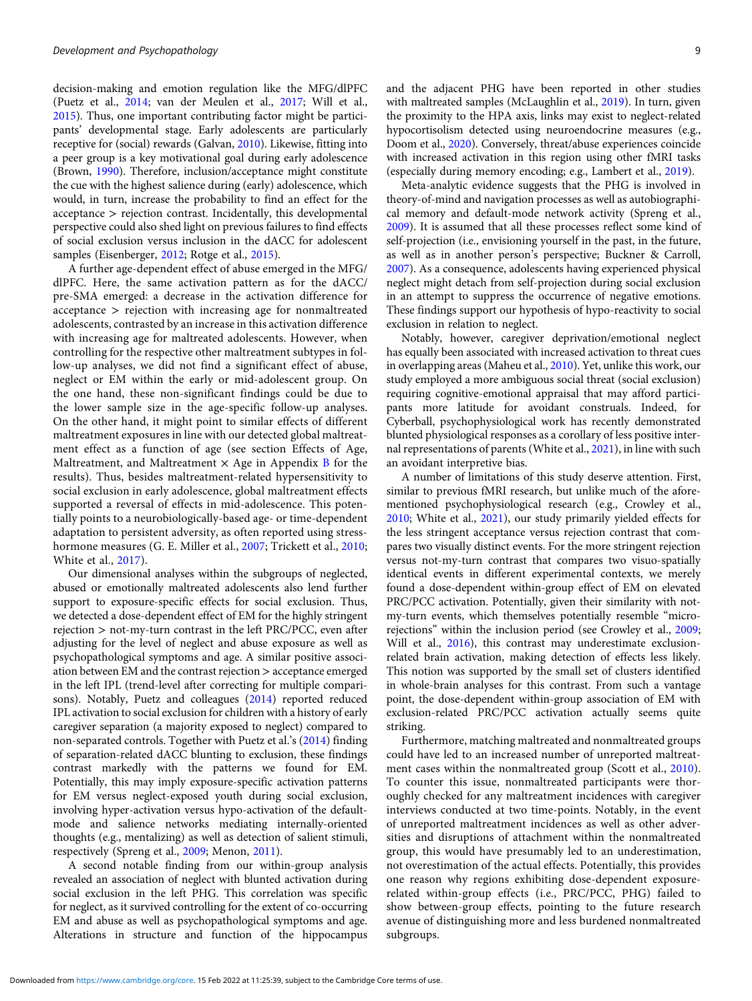decision-making and emotion regulation like the MFG/dlPFC (Puetz et al., [2014](#page-11-0); van der Meulen et al., [2017;](#page-12-0) Will et al., [2015](#page-12-0)). Thus, one important contributing factor might be participants' developmental stage. Early adolescents are particularly receptive for (social) rewards (Galvan, [2010](#page-10-0)). Likewise, fitting into a peer group is a key motivational goal during early adolescence (Brown, [1990](#page-10-0)). Therefore, inclusion/acceptance might constitute the cue with the highest salience during (early) adolescence, which would, in turn, increase the probability to find an effect for the acceptance > rejection contrast. Incidentally, this developmental perspective could also shed light on previous failures to find effects of social exclusion versus inclusion in the dACC for adolescent samples (Eisenberger, [2012;](#page-10-0) Rotge et al., [2015\)](#page-11-0).

A further age-dependent effect of abuse emerged in the MFG/ dlPFC. Here, the same activation pattern as for the dACC/ pre-SMA emerged: a decrease in the activation difference for acceptance > rejection with increasing age for nonmaltreated adolescents, contrasted by an increase in this activation difference with increasing age for maltreated adolescents. However, when controlling for the respective other maltreatment subtypes in follow-up analyses, we did not find a significant effect of abuse, neglect or EM within the early or mid-adolescent group. On the one hand, these non-significant findings could be due to the lower sample size in the age-specific follow-up analyses. On the other hand, it might point to similar effects of different maltreatment exposures in line with our detected global maltreatment effect as a function of age (see section Effects of Age, Maltreatment, and Maltreatment  $\times$  Age in Appendix [B](https://doi.org/10.1017/S0954579421001681) for the results). Thus, besides maltreatment-related hypersensitivity to social exclusion in early adolescence, global maltreatment effects supported a reversal of effects in mid-adolescence. This potentially points to a neurobiologically-based age- or time-dependent adaptation to persistent adversity, as often reported using stresshormone measures (G. E. Miller et al., [2007;](#page-11-0) Trickett et al., [2010;](#page-11-0) White et al., [2017](#page-12-0)).

Our dimensional analyses within the subgroups of neglected, abused or emotionally maltreated adolescents also lend further support to exposure-specific effects for social exclusion. Thus, we detected a dose-dependent effect of EM for the highly stringent rejection > not-my-turn contrast in the left PRC/PCC, even after adjusting for the level of neglect and abuse exposure as well as psychopathological symptoms and age. A similar positive association between EM and the contrast rejection > acceptance emerged in the left IPL (trend-level after correcting for multiple comparisons). Notably, Puetz and colleagues [\(2014\)](#page-11-0) reported reduced IPL activation to social exclusion for children with a history of early caregiver separation (a majority exposed to neglect) compared to non-separated controls. Together with Puetz et al.'s [\(2014](#page-11-0)) finding of separation-related dACC blunting to exclusion, these findings contrast markedly with the patterns we found for EM. Potentially, this may imply exposure-specific activation patterns for EM versus neglect-exposed youth during social exclusion, involving hyper-activation versus hypo-activation of the defaultmode and salience networks mediating internally-oriented thoughts (e.g., mentalizing) as well as detection of salient stimuli, respectively (Spreng et al., [2009;](#page-11-0) Menon, [2011\)](#page-11-0).

A second notable finding from our within-group analysis revealed an association of neglect with blunted activation during social exclusion in the left PHG. This correlation was specific for neglect, as it survived controlling for the extent of co-occurring EM and abuse as well as psychopathological symptoms and age. Alterations in structure and function of the hippocampus and the adjacent PHG have been reported in other studies with maltreated samples (McLaughlin et al., [2019](#page-11-0)). In turn, given the proximity to the HPA axis, links may exist to neglect-related hypocortisolism detected using neuroendocrine measures (e.g., Doom et al., [2020](#page-10-0)). Conversely, threat/abuse experiences coincide with increased activation in this region using other fMRI tasks (especially during memory encoding; e.g., Lambert et al., [2019\)](#page-11-0).

Meta-analytic evidence suggests that the PHG is involved in theory-of-mind and navigation processes as well as autobiographical memory and default-mode network activity (Spreng et al., [2009](#page-11-0)). It is assumed that all these processes reflect some kind of self-projection (i.e., envisioning yourself in the past, in the future, as well as in another person's perspective; Buckner & Carroll, [2007](#page-10-0)). As a consequence, adolescents having experienced physical neglect might detach from self-projection during social exclusion in an attempt to suppress the occurrence of negative emotions. These findings support our hypothesis of hypo-reactivity to social exclusion in relation to neglect.

Notably, however, caregiver deprivation/emotional neglect has equally been associated with increased activation to threat cues in overlapping areas (Maheu et al., [2010](#page-11-0)). Yet, unlike this work, our study employed a more ambiguous social threat (social exclusion) requiring cognitive-emotional appraisal that may afford participants more latitude for avoidant construals. Indeed, for Cyberball, psychophysiological work has recently demonstrated blunted physiological responses as a corollary of less positive internal representations of parents (White et al., [2021\)](#page-12-0), in line with such an avoidant interpretive bias.

A number of limitations of this study deserve attention. First, similar to previous fMRI research, but unlike much of the aforementioned psychophysiological research (e.g., Crowley et al., [2010](#page-10-0); White et al., [2021\)](#page-12-0), our study primarily yielded effects for the less stringent acceptance versus rejection contrast that compares two visually distinct events. For the more stringent rejection versus not-my-turn contrast that compares two visuo-spatially identical events in different experimental contexts, we merely found a dose-dependent within-group effect of EM on elevated PRC/PCC activation. Potentially, given their similarity with notmy-turn events, which themselves potentially resemble "microrejections" within the inclusion period (see Crowley et al., [2009;](#page-10-0) Will et al., [2016](#page-12-0)), this contrast may underestimate exclusionrelated brain activation, making detection of effects less likely. This notion was supported by the small set of clusters identified in whole-brain analyses for this contrast. From such a vantage point, the dose-dependent within-group association of EM with exclusion-related PRC/PCC activation actually seems quite striking.

Furthermore, matching maltreated and nonmaltreated groups could have led to an increased number of unreported maltreatment cases within the nonmaltreated group (Scott et al., [2010\)](#page-11-0). To counter this issue, nonmaltreated participants were thoroughly checked for any maltreatment incidences with caregiver interviews conducted at two time-points. Notably, in the event of unreported maltreatment incidences as well as other adversities and disruptions of attachment within the nonmaltreated group, this would have presumably led to an underestimation, not overestimation of the actual effects. Potentially, this provides one reason why regions exhibiting dose-dependent exposurerelated within-group effects (i.e., PRC/PCC, PHG) failed to show between-group effects, pointing to the future research avenue of distinguishing more and less burdened nonmaltreated subgroups.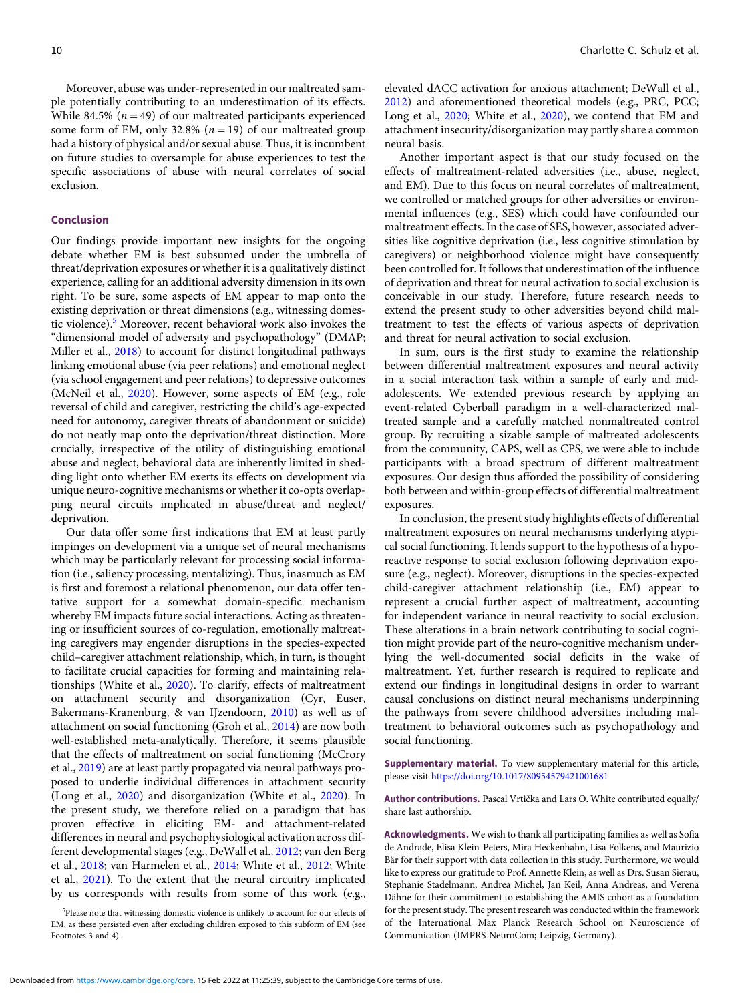Moreover, abuse was under-represented in our maltreated sample potentially contributing to an underestimation of its effects. While 84.5% ( $n = 49$ ) of our maltreated participants experienced some form of EM, only 32.8%  $(n = 19)$  of our maltreated group had a history of physical and/or sexual abuse. Thus, it is incumbent on future studies to oversample for abuse experiences to test the specific associations of abuse with neural correlates of social exclusion.

#### Conclusion

Our findings provide important new insights for the ongoing debate whether EM is best subsumed under the umbrella of threat/deprivation exposures or whether it is a qualitatively distinct experience, calling for an additional adversity dimension in its own right. To be sure, some aspects of EM appear to map onto the existing deprivation or threat dimensions (e.g., witnessing domestic violence).5 Moreover, recent behavioral work also invokes the "dimensional model of adversity and psychopathology" (DMAP; Miller et al., [2018\)](#page-11-0) to account for distinct longitudinal pathways linking emotional abuse (via peer relations) and emotional neglect (via school engagement and peer relations) to depressive outcomes (McNeil et al., [2020\)](#page-11-0). However, some aspects of EM (e.g., role reversal of child and caregiver, restricting the child's age-expected need for autonomy, caregiver threats of abandonment or suicide) do not neatly map onto the deprivation/threat distinction. More crucially, irrespective of the utility of distinguishing emotional abuse and neglect, behavioral data are inherently limited in shedding light onto whether EM exerts its effects on development via unique neuro-cognitive mechanisms or whether it co-opts overlapping neural circuits implicated in abuse/threat and neglect/ deprivation.

Our data offer some first indications that EM at least partly impinges on development via a unique set of neural mechanisms which may be particularly relevant for processing social information (i.e., saliency processing, mentalizing). Thus, inasmuch as EM is first and foremost a relational phenomenon, our data offer tentative support for a somewhat domain-specific mechanism whereby EM impacts future social interactions. Acting as threatening or insufficient sources of co-regulation, emotionally maltreating caregivers may engender disruptions in the species-expected child–caregiver attachment relationship, which, in turn, is thought to facilitate crucial capacities for forming and maintaining relationships (White et al., [2020](#page-12-0)). To clarify, effects of maltreatment on attachment security and disorganization (Cyr, Euser, Bakermans-Kranenburg, & van IJzendoorn, [2010\)](#page-10-0) as well as of attachment on social functioning (Groh et al., [2014\)](#page-10-0) are now both well-established meta-analytically. Therefore, it seems plausible that the effects of maltreatment on social functioning (McCrory et al., [2019](#page-11-0)) are at least partly propagated via neural pathways proposed to underlie individual differences in attachment security (Long et al., [2020](#page-11-0)) and disorganization (White et al., [2020](#page-12-0)). In the present study, we therefore relied on a paradigm that has proven effective in eliciting EM- and attachment-related differences in neural and psychophysiological activation across different developmental stages (e.g., DeWall et al., [2012;](#page-10-0) van den Berg et al., [2018](#page-11-0); van Harmelen et al., [2014](#page-12-0); White et al., [2012;](#page-12-0) White et al., [2021](#page-12-0)). To the extent that the neural circuitry implicated by us corresponds with results from some of this work (e.g.,

elevated dACC activation for anxious attachment; DeWall et al., [2012\)](#page-10-0) and aforementioned theoretical models (e.g., PRC, PCC; Long et al., [2020](#page-12-0); White et al., 2020), we contend that EM and attachment insecurity/disorganization may partly share a common neural basis.

Another important aspect is that our study focused on the effects of maltreatment-related adversities (i.e., abuse, neglect, and EM). Due to this focus on neural correlates of maltreatment, we controlled or matched groups for other adversities or environmental influences (e.g., SES) which could have confounded our maltreatment effects. In the case of SES, however, associated adversities like cognitive deprivation (i.e., less cognitive stimulation by caregivers) or neighborhood violence might have consequently been controlled for. It follows that underestimation of the influence of deprivation and threat for neural activation to social exclusion is conceivable in our study. Therefore, future research needs to extend the present study to other adversities beyond child maltreatment to test the effects of various aspects of deprivation and threat for neural activation to social exclusion.

In sum, ours is the first study to examine the relationship between differential maltreatment exposures and neural activity in a social interaction task within a sample of early and midadolescents. We extended previous research by applying an event-related Cyberball paradigm in a well-characterized maltreated sample and a carefully matched nonmaltreated control group. By recruiting a sizable sample of maltreated adolescents from the community, CAPS, well as CPS, we were able to include participants with a broad spectrum of different maltreatment exposures. Our design thus afforded the possibility of considering both between and within-group effects of differential maltreatment exposures.

In conclusion, the present study highlights effects of differential maltreatment exposures on neural mechanisms underlying atypical social functioning. It lends support to the hypothesis of a hyporeactive response to social exclusion following deprivation exposure (e.g., neglect). Moreover, disruptions in the species-expected child-caregiver attachment relationship (i.e., EM) appear to represent a crucial further aspect of maltreatment, accounting for independent variance in neural reactivity to social exclusion. These alterations in a brain network contributing to social cognition might provide part of the neuro-cognitive mechanism underlying the well-documented social deficits in the wake of maltreatment. Yet, further research is required to replicate and extend our findings in longitudinal designs in order to warrant causal conclusions on distinct neural mechanisms underpinning the pathways from severe childhood adversities including maltreatment to behavioral outcomes such as psychopathology and social functioning.

Supplementary material. To view supplementary material for this article, please visit <https://doi.org/10.1017/S0954579421001681>

Author contributions. Pascal Vrtička and Lars O. White contributed equally/ share last authorship.

Acknowledgments. We wish to thank all participating families as well as Sofia de Andrade, Elisa Klein-Peters, Mira Heckenhahn, Lisa Folkens, and Maurizio Bär for their support with data collection in this study. Furthermore, we would like to express our gratitude to Prof. Annette Klein, as well as Drs. Susan Sierau, Stephanie Stadelmann, Andrea Michel, Jan Keil, Anna Andreas, and Verena Dähne for their commitment to establishing the AMIS cohort as a foundation for the present study. The present research was conducted within the framework of the International Max Planck Research School on Neuroscience of Communication (IMPRS NeuroCom; Leipzig, Germany).

<sup>5</sup> Please note that witnessing domestic violence is unlikely to account for our effects of EM, as these persisted even after excluding children exposed to this subform of EM (see Footnotes 3 and 4).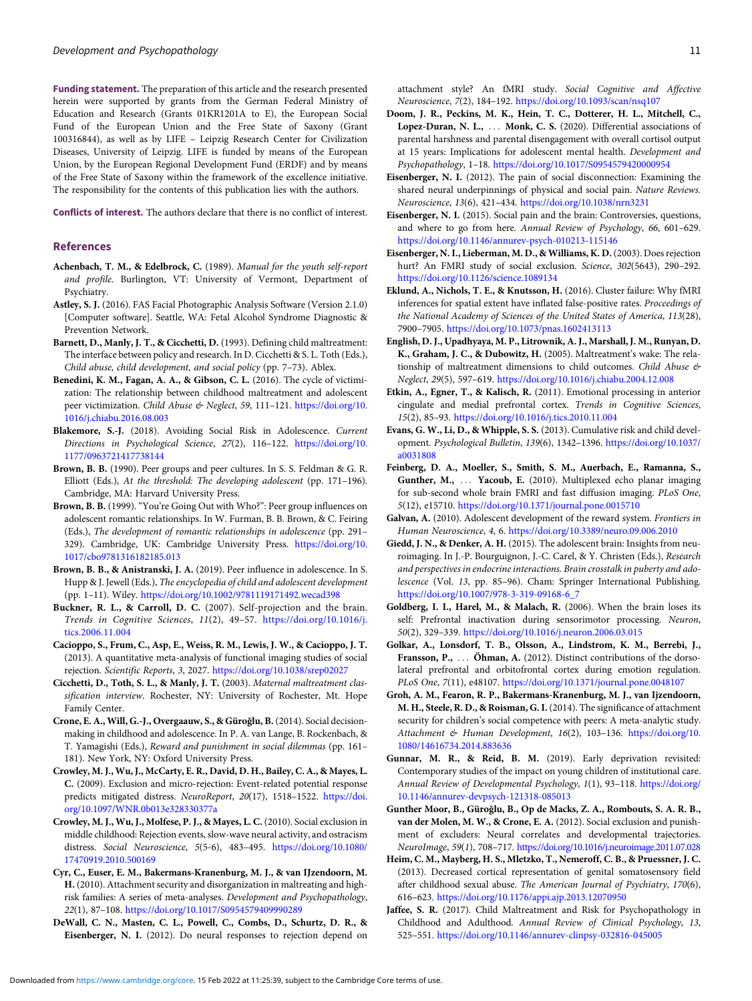<span id="page-10-0"></span>Funding statement. The preparation of this article and the research presented herein were supported by grants from the German Federal Ministry of Education and Research (Grants 01KR1201A to E), the European Social Fund of the European Union and the Free State of Saxony (Grant 100316844), as well as by LIFE – Leipzig Research Center for Civilization Diseases, University of Leipzig. LIFE is funded by means of the European Union, by the European Regional Development Fund (ERDF) and by means of the Free State of Saxony within the framework of the excellence initiative. The responsibility for the contents of this publication lies with the authors.

Conflicts of interest. The authors declare that there is no conflict of interest.

#### References

- Achenbach, T. M., & Edelbrock, C. (1989). Manual for the youth self-report and profile. Burlington, VT: University of Vermont, Department of Psychiatry.
- Astley, S. J. (2016). FAS Facial Photographic Analysis Software (Version 2.1.0) [Computer software]. Seattle, WA: Fetal Alcohol Syndrome Diagnostic & Prevention Network.
- Barnett, D., Manly, J. T., & Cicchetti, D. (1993). Defining child maltreatment: The interface between policy and research. In D. Cicchetti & S. L. Toth (Eds.), Child abuse, child development, and social policy (pp. 7–73). Ablex.
- Benedini, K. M., Fagan, A. A., & Gibson, C. L. (2016). The cycle of victimization: The relationship between childhood maltreatment and adolescent peer victimization. Child Abuse & Neglect, 59, 111–121. [https://doi.org/10.](https://doi.org/10.1016/j.chiabu.2016.08.003) [1016/j.chiabu.2016.08.003](https://doi.org/10.1016/j.chiabu.2016.08.003)
- Blakemore, S.-J. (2018). Avoiding Social Risk in Adolescence. Current Directions in Psychological Science, 27(2), 116–122. [https://doi.org/10.](https://doi.org/10.1177/0963721417738144) [1177/0963721417738144](https://doi.org/10.1177/0963721417738144)
- Brown, B. B. (1990). Peer groups and peer cultures. In S. S. Feldman & G. R. Elliott (Eds.), At the threshold: The developing adolescent (pp. 171–196). Cambridge, MA: Harvard University Press.
- Brown, B. B. (1999). "You're Going Out with Who?": Peer group influences on adolescent romantic relationships. In W. Furman, B. B. Brown, & C. Feiring (Eds.), The development of romantic relationships in adolescence (pp. 291– 329). Cambridge, UK: Cambridge University Press. [https://doi.org/10.](https://doi.org/10.1017/cbo9781316182185.013) [1017/cbo9781316182185.013](https://doi.org/10.1017/cbo9781316182185.013)
- Brown, B. B., & Anistranski, J. A. (2019). Peer influence in adolescence. In S. Hupp & J. Jewell (Eds.), The encyclopedia of child and adolescent development (pp. 1–11). Wiley. <https://doi.org/10.1002/9781119171492.wecad398>
- Buckner, R. L., & Carroll, D. C. (2007). Self-projection and the brain. Trends in Cognitive Sciences, 11(2), 49–57. [https://doi.org/10.1016/j.](https://doi.org/10.1016/j.tics.2006.11.004) [tics.2006.11.004](https://doi.org/10.1016/j.tics.2006.11.004)
- Cacioppo, S., Frum, C., Asp, E., Weiss, R. M., Lewis, J. W., & Cacioppo, J. T. (2013). A quantitative meta-analysis of functional imaging studies of social rejection. Scientific Reports, 3, 2027. <https://doi.org/10.1038/srep02027>
- Cicchetti, D., Toth, S. L., & Manly, J. T. (2003). Maternal maltreatment classification interview. Rochester, NY: University of Rochester, Mt. Hope Family Center.
- Crone, E. A., Will, G.-J., Overgaauw, S., & Güroğlu, B.(2014). Social decisionmaking in childhood and adolescence. In P. A. van Lange, B. Rockenbach, & T. Yamagishi (Eds.), Reward and punishment in social dilemmas (pp. 161– 181). New York, NY: Oxford University Press.
- Crowley, M. J., Wu, J., McCarty, E. R., David, D. H., Bailey, C. A., & Mayes, L. C. (2009). Exclusion and micro-rejection: Event-related potential response predicts mitigated distress. NeuroReport, 20(17), 1518–1522. [https://doi.](https://doi.org/10.1097/WNR.0b013e328330377a) [org/10.1097/WNR.0b013e328330377a](https://doi.org/10.1097/WNR.0b013e328330377a)
- Crowley, M. J., Wu, J., Molfese, P. J., & Mayes, L. C. (2010). Social exclusion in middle childhood: Rejection events, slow-wave neural activity, and ostracism distress. Social Neuroscience, 5(5-6), 483–495. [https://doi.org/10.1080/](https://doi.org/10.1080/17470919.2010.500169) [17470919.2010.500169](https://doi.org/10.1080/17470919.2010.500169)
- Cyr, C., Euser, E. M., Bakermans-Kranenburg, M. J., & van IJzendoorn, M. H. (2010). Attachment security and disorganization in maltreating and highrisk families: A series of meta-analyses. Development and Psychopathology, 22(1), 87–108. <https://doi.org/10.1017/S0954579409990289>
- DeWall, C. N., Masten, C. L., Powell, C., Combs, D., Schurtz, D. R., & Eisenberger, N. I. (2012). Do neural responses to rejection depend on

attachment style? An fMRI study. Social Cognitive and Affective Neuroscience, 7(2), 184–192. <https://doi.org/10.1093/scan/nsq107>

- Doom, J. R., Peckins, M. K., Hein, T. C., Dotterer, H. L., Mitchell, C., Lopez-Duran, N. L., ... Monk, C. S. (2020). Differential associations of parental harshness and parental disengagement with overall cortisol output at 15 years: Implications for adolescent mental health. Development and Psychopathology, 1–18. <https://doi.org/10.1017/S0954579420000954>
- Eisenberger, N. I. (2012). The pain of social disconnection: Examining the shared neural underpinnings of physical and social pain. Nature Reviews. Neuroscience, 13(6), 421–434. <https://doi.org/10.1038/nrn3231>
- Eisenberger, N. I. (2015). Social pain and the brain: Controversies, questions, and where to go from here. Annual Review of Psychology, 66, 601–629. <https://doi.org/10.1146/annurev-psych-010213-115146>
- Eisenberger, N. I., Lieberman, M. D., & Williams, K. D. (2003). Does rejection hurt? An FMRI study of social exclusion. Science, 302(5643), 290–292. <https://doi.org/10.1126/science.1089134>
- Eklund, A., Nichols, T. E., & Knutsson, H. (2016). Cluster failure: Why fMRI inferences for spatial extent have inflated false-positive rates. Proceedings of the National Academy of Sciences of the United States of America, 113(28), 7900–7905. <https://doi.org/10.1073/pnas.1602413113>
- English, D. J., Upadhyaya, M. P., Litrownik, A. J., Marshall, J. M., Runyan, D. K., Graham, J. C., & Dubowitz, H. (2005). Maltreatment's wake: The relationship of maltreatment dimensions to child outcomes. Child Abuse & Neglect, 29(5), 597–619. <https://doi.org/10.1016/j.chiabu.2004.12.008>
- Etkin, A., Egner, T., & Kalisch, R. (2011). Emotional processing in anterior cingulate and medial prefrontal cortex. Trends in Cognitive Sciences, 15(2), 85–93. <https://doi.org/10.1016/j.tics.2010.11.004>
- Evans, G. W., Li, D., & Whipple, S. S. (2013). Cumulative risk and child development. Psychological Bulletin, 139(6), 1342–1396. [https://doi.org/10.1037/](https://doi.org/10.1037/a0031808) [a0031808](https://doi.org/10.1037/a0031808)
- Feinberg, D. A., Moeller, S., Smith, S. M., Auerbach, E., Ramanna, S., Gunther, M., ... Yacoub, E. (2010). Multiplexed echo planar imaging for sub-second whole brain FMRI and fast diffusion imaging. PLoS One, 5(12), e15710. <https://doi.org/10.1371/journal.pone.0015710>
- Galvan, A. (2010). Adolescent development of the reward system. Frontiers in Human Neuroscience, 4, 6. <https://doi.org/10.3389/neuro.09.006.2010>
- Giedd, J. N., & Denker, A. H. (2015). The adolescent brain: Insights from neuroimaging. In J.-P. Bourguignon, J.-C. Carel, & Y. Christen (Eds.), Research and perspectives in endocrine interactions. Brain crosstalk in puberty and adolescence (Vol. 13, pp. 85–96). Cham: Springer International Publishing. [https://doi.org/10.1007/978-3-319-09168-6\\_7](https://doi.org/10.1007/978-3-319-09168-6_7)
- Goldberg, I. I., Harel, M., & Malach, R. (2006). When the brain loses its self: Prefrontal inactivation during sensorimotor processing. Neuron, 50(2), 329–339. <https://doi.org/10.1016/j.neuron.2006.03.015>
- Golkar, A., Lonsdorf, T. B., Olsson, A., Lindstrom, K. M., Berrebi, J., Fransson, P., ... Öhman, A. (2012). Distinct contributions of the dorsolateral prefrontal and orbitofrontal cortex during emotion regulation. PLoS One, 7(11), e48107. <https://doi.org/10.1371/journal.pone.0048107>
- Groh, A. M., Fearon, R. P., Bakermans-Kranenburg, M. J., van Ijzendoorn, M. H., Steele, R. D., & Roisman, G. I.(2014). The significance of attachment security for children's social competence with peers: A meta-analytic study. Attachment & Human Development, 16(2), 103–136. [https://doi.org/10.](https://doi.org/10.1080/14616734.2014.883636) [1080/14616734.2014.883636](https://doi.org/10.1080/14616734.2014.883636)
- Gunnar, M. R., & Reid, B. M. (2019). Early deprivation revisited: Contemporary studies of the impact on young children of institutional care. Annual Review of Developmental Psychology, 1(1), 93–118. [https://doi.org/](https://doi.org/10.1146/annurev-devpsych-121318-085013) [10.1146/annurev-devpsych-121318-085013](https://doi.org/10.1146/annurev-devpsych-121318-085013)
- Gunther Moor, B., Güroğlu, B., Op de Macks, Z. A., Rombouts, S. A. R. B., van der Molen, M. W., & Crone, E. A. (2012). Social exclusion and punishment of excluders: Neural correlates and developmental trajectories. NeuroImage, 59(1), 708–717. <https://doi.org/10.1016/j.neuroimage.2011.07.028>
- Heim, C. M., Mayberg, H. S., Mletzko, T., Nemeroff, C. B., & Pruessner, J. C. (2013). Decreased cortical representation of genital somatosensory field after childhood sexual abuse. The American Journal of Psychiatry, 170(6), 616–623. <https://doi.org/10.1176/appi.ajp.2013.12070950>
- Jaffee, S. R. (2017). Child Maltreatment and Risk for Psychopathology in Childhood and Adulthood. Annual Review of Clinical Psychology, 13, 525–551. <https://doi.org/10.1146/annurev-clinpsy-032816-045005>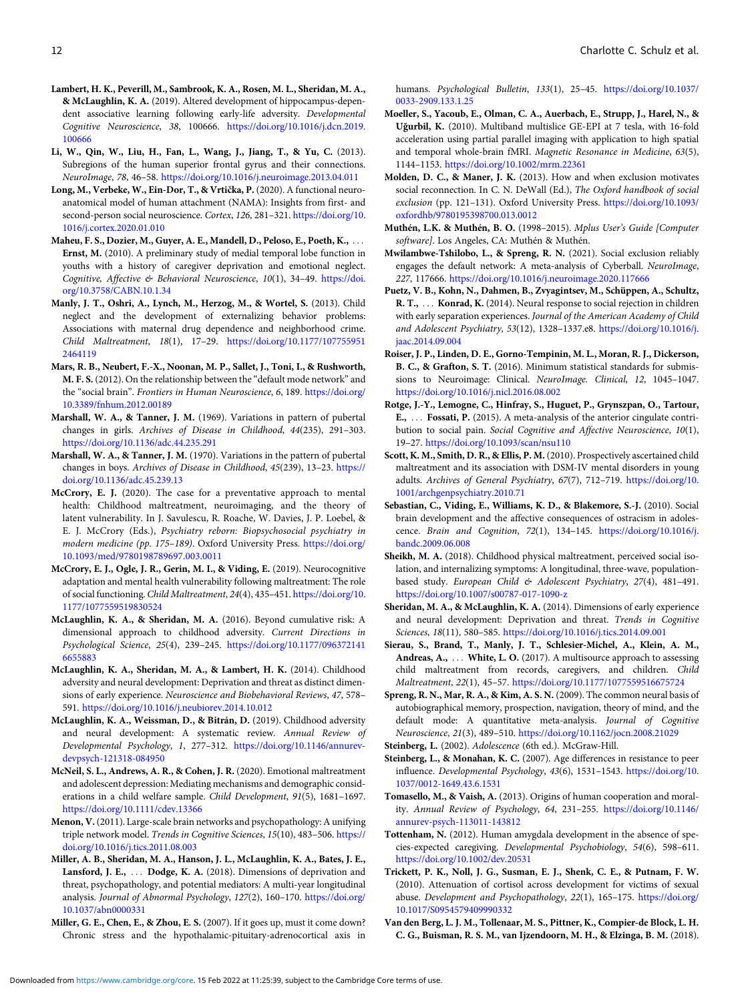- <span id="page-11-0"></span>Lambert, H. K., Peverill, M., Sambrook, K. A., Rosen, M. L., Sheridan, M. A., & McLaughlin, K. A. (2019). Altered development of hippocampus-dependent associative learning following early-life adversity. Developmental Cognitive Neuroscience, 38, 100666. [https://doi.org/10.1016/j.dcn.2019.](https://doi.org/10.1016/j.dcn.2019.100666) [100666](https://doi.org/10.1016/j.dcn.2019.100666)
- Li, W., Qin, W., Liu, H., Fan, L., Wang, J., Jiang, T., & Yu, C. (2013). Subregions of the human superior frontal gyrus and their connections. NeuroImage, 78, 46–58. <https://doi.org/10.1016/j.neuroimage.2013.04.011>
- Long, M., Verbeke, W., Ein-Dor, T., & Vrtička, P. (2020). A functional neuroanatomical model of human attachment (NAMA): Insights from first- and second-person social neuroscience. Cortex, 126, 281–321. [https://doi.org/10.](https://doi.org/10.1016/j.cortex.2020.01.010) [1016/j.cortex.2020.01.010](https://doi.org/10.1016/j.cortex.2020.01.010)
- Maheu, F. S., Dozier, M., Guyer, A. E., Mandell, D., Peloso, E., Poeth, K., ... Ernst, M. (2010). A preliminary study of medial temporal lobe function in youths with a history of caregiver deprivation and emotional neglect. Cognitive, Affective & Behavioral Neuroscience, 10(1), 34–49. [https://doi.](https://doi.org/10.3758/CABN.10.1.34) [org/10.3758/CABN.10.1.34](https://doi.org/10.3758/CABN.10.1.34)
- Manly, J. T., Oshri, A., Lynch, M., Herzog, M., & Wortel, S. (2013). Child neglect and the development of externalizing behavior problems: Associations with maternal drug dependence and neighborhood crime. Child Maltreatment, 18(1), 17–29. [https://doi.org/10.1177/107755951](https://doi.org/10.1177/1077559512464119) [2464119](https://doi.org/10.1177/1077559512464119)
- Mars, R. B., Neubert, F.-X., Noonan, M. P., Sallet, J., Toni, I., & Rushworth, M. F. S. (2012). On the relationship between the "default mode network" and the "social brain". Frontiers in Human Neuroscience, 6, 189. [https://doi.org/](https://doi.org/10.3389/fnhum.2012.00189) [10.3389/fnhum.2012.00189](https://doi.org/10.3389/fnhum.2012.00189)
- Marshall, W. A., & Tanner, J. M. (1969). Variations in pattern of pubertal changes in girls. Archives of Disease in Childhood, 44(235), 291–303. <https://doi.org/10.1136/adc.44.235.291>
- Marshall, W. A., & Tanner, J. M. (1970). Variations in the pattern of pubertal changes in boys. Archives of Disease in Childhood, 45(239), 13–23. [https://](https://doi.org/10.1136/adc.45.239.13) [doi.org/10.1136/adc.45.239.13](https://doi.org/10.1136/adc.45.239.13)
- McCrory, E. J. (2020). The case for a preventative approach to mental health: Childhood maltreatment, neuroimaging, and the theory of latent vulnerability. In J. Savulescu, R. Roache, W. Davies, J. P. Loebel, & E. J. McCrory (Eds.), Psychiatry reborn: Biopsychosocial psychiatry in modern medicine (pp. 175–189). Oxford University Press. [https://doi.org/](https://doi.org/10.1093/med/9780198789697.003.0011) [10.1093/med/9780198789697.003.0011](https://doi.org/10.1093/med/9780198789697.003.0011)
- McCrory, E. J., Ogle, J. R., Gerin, M. I., & Viding, E. (2019). Neurocognitive adaptation and mental health vulnerability following maltreatment: The role of social functioning. Child Maltreatment, 24(4), 435–451. [https://doi.org/10.](https://doi.org/10.1177/1077559519830524) [1177/1077559519830524](https://doi.org/10.1177/1077559519830524)
- McLaughlin, K. A., & Sheridan, M. A. (2016). Beyond cumulative risk: A dimensional approach to childhood adversity. Current Directions in Psychological Science, 25(4), 239–245. [https://doi.org/10.1177/096372141](https://doi.org/10.1177/0963721416655883) [6655883](https://doi.org/10.1177/0963721416655883)
- McLaughlin, K. A., Sheridan, M. A., & Lambert, H. K. (2014). Childhood adversity and neural development: Deprivation and threat as distinct dimensions of early experience. Neuroscience and Biobehavioral Reviews, 47, 578– 591. <https://doi.org/10.1016/j.neubiorev.2014.10.012>
- McLaughlin, K. A., Weissman, D., & Bitrán, D. (2019). Childhood adversity and neural development: A systematic review. Annual Review of Developmental Psychology, 1, 277–312. [https://doi.org/10.1146/annurev](https://doi.org/10.1146/annurev-devpsych-121318-084950)[devpsych-121318-084950](https://doi.org/10.1146/annurev-devpsych-121318-084950)
- McNeil, S. L., Andrews, A. R., & Cohen, J. R. (2020). Emotional maltreatment and adolescent depression: Mediating mechanisms and demographic considerations in a child welfare sample. Child Development, 91(5), 1681–1697. <https://doi.org/10.1111/cdev.13366>
- Menon, V.(2011). Large-scale brain networks and psychopathology: A unifying triple network model. Trends in Cognitive Sciences, 15(10), 483–506. [https://](https://doi.org/10.1016/j.tics.2011.08.003) [doi.org/10.1016/j.tics.2011.08.003](https://doi.org/10.1016/j.tics.2011.08.003)
- Miller, A. B., Sheridan, M. A., Hanson, J. L., McLaughlin, K. A., Bates, J. E., Lansford, J. E., ... Dodge, K. A. (2018). Dimensions of deprivation and threat, psychopathology, and potential mediators: A multi-year longitudinal analysis. Journal of Abnormal Psychology, 127(2), 160–170. [https://doi.org/](https://doi.org/10.1037/abn0000331) [10.1037/abn0000331](https://doi.org/10.1037/abn0000331)
- Miller, G. E., Chen, E., & Zhou, E. S. (2007). If it goes up, must it come down? Chronic stress and the hypothalamic-pituitary-adrenocortical axis in

humans. Psychological Bulletin, 133(1), 25-45. [https://doi.org/10.1037/](https://doi.org/10.1037/0033-2909.133.1.25) [0033-2909.133.1.25](https://doi.org/10.1037/0033-2909.133.1.25)

- Moeller, S., Yacoub, E., Olman, C. A., Auerbach, E., Strupp, J., Harel, N., & Uğurbil, K. (2010). Multiband multislice GE-EPI at 7 tesla, with 16-fold acceleration using partial parallel imaging with application to high spatial and temporal whole-brain fMRI. Magnetic Resonance in Medicine, 63(5), 1144–1153. <https://doi.org/10.1002/mrm.22361>
- Molden, D. C., & Maner, J. K. (2013). How and when exclusion motivates social reconnection. In C. N. DeWall (Ed.), The Oxford handbook of social exclusion (pp. 121–131). Oxford University Press. [https://doi.org/10.1093/](https://doi.org/10.1093/oxfordhb/9780195398700.013.0012) [oxfordhb/9780195398700.013.0012](https://doi.org/10.1093/oxfordhb/9780195398700.013.0012)
- Muthén, L.K. & Muthén, B. O. (1998–2015). Mplus User's Guide [Computer software]. Los Angeles, CA: Muthén & Muthén.
- Mwilambwe-Tshilobo, L., & Spreng, R. N. (2021). Social exclusion reliably engages the default network: A meta-analysis of Cyberball. NeuroImage, 227, 117666. <https://doi.org/10.1016/j.neuroimage.2020.117666>
- Puetz, V. B., Kohn, N., Dahmen, B., Zvyagintsev, M., Schüppen, A., Schultz, R. T., ... Konrad, K. (2014). Neural response to social rejection in children with early separation experiences. Journal of the American Academy of Child and Adolescent Psychiatry, 53(12), 1328–1337.e8. [https://doi.org/10.1016/j.](https://doi.org/10.1016/j.jaac.2014.09.004) [jaac.2014.09.004](https://doi.org/10.1016/j.jaac.2014.09.004)
- Roiser, J. P., Linden, D. E., Gorno-Tempinin, M. L., Moran, R. J., Dickerson, B. C., & Grafton, S. T. (2016). Minimum statistical standards for submissions to Neuroimage: Clinical. NeuroImage. Clinical, 12, 1045–1047. <https://doi.org/10.1016/j.nicl.2016.08.002>
- Rotge, J.-Y., Lemogne, C., Hinfray, S., Huguet, P., Grynszpan, O., Tartour, E., ... Fossati, P. (2015). A meta-analysis of the anterior cingulate contribution to social pain. Social Cognitive and Affective Neuroscience, 10(1), 19–27. <https://doi.org/10.1093/scan/nsu110>
- Scott, K. M., Smith, D. R., & Ellis, P. M. (2010). Prospectively ascertained child maltreatment and its association with DSM-IV mental disorders in young adults. Archives of General Psychiatry, 67(7), 712–719. [https://doi.org/10.](https://doi.org/10.1001/archgenpsychiatry.2010.71) [1001/archgenpsychiatry.2010.71](https://doi.org/10.1001/archgenpsychiatry.2010.71)
- Sebastian, C., Viding, E., Williams, K. D., & Blakemore, S.-J. (2010). Social brain development and the affective consequences of ostracism in adolescence. Brain and Cognition, 72(1), 134–145. [https://doi.org/10.1016/j.](https://doi.org/10.1016/j.bandc.2009.06.008) [bandc.2009.06.008](https://doi.org/10.1016/j.bandc.2009.06.008)
- Sheikh, M. A. (2018). Childhood physical maltreatment, perceived social isolation, and internalizing symptoms: A longitudinal, three-wave, populationbased study. European Child & Adolescent Psychiatry, 27(4), 481-491. <https://doi.org/10.1007/s00787-017-1090-z>
- Sheridan, M. A., & McLaughlin, K. A. (2014). Dimensions of early experience and neural development: Deprivation and threat. Trends in Cognitive Sciences, 18(11), 580–585. <https://doi.org/10.1016/j.tics.2014.09.001>
- Sierau, S., Brand, T., Manly, J. T., Schlesier-Michel, A., Klein, A. M., Andreas, A., ... White, L. O. (2017). A multisource approach to assessing child maltreatment from records, caregivers, and children. Child Maltreatment, 22(1), 45–57. <https://doi.org/10.1177/1077559516675724>
- Spreng, R. N., Mar, R. A., & Kim, A. S. N. (2009). The common neural basis of autobiographical memory, prospection, navigation, theory of mind, and the default mode: A quantitative meta-analysis. Journal of Cognitive Neuroscience, 21(3), 489–510. <https://doi.org/10.1162/jocn.2008.21029>

Steinberg, L. (2002). Adolescence (6th ed.). McGraw-Hill.

- Steinberg, L., & Monahan, K. C. (2007). Age differences in resistance to peer influence. Developmental Psychology, 43(6), 1531–1543. [https://doi.org/10.](https://doi.org/10.1037/0012-1649.43.6.1531) [1037/0012-1649.43.6.1531](https://doi.org/10.1037/0012-1649.43.6.1531)
- Tomasello, M., & Vaish, A. (2013). Origins of human cooperation and morality. Annual Review of Psychology, 64, 231–255. [https://doi.org/10.1146/](https://doi.org/10.1146/annurev-psych-113011-143812) [annurev-psych-113011-143812](https://doi.org/10.1146/annurev-psych-113011-143812)
- Tottenham, N. (2012). Human amygdala development in the absence of species-expected caregiving. Developmental Psychobiology, 54(6), 598–611. <https://doi.org/10.1002/dev.20531>
- Trickett, P. K., Noll, J. G., Susman, E. J., Shenk, C. E., & Putnam, F. W. (2010). Attenuation of cortisol across development for victims of sexual abuse. Development and Psychopathology, 22(1), 165–175. [https://doi.org/](https://doi.org/10.1017/S0954579409990332) [10.1017/S0954579409990332](https://doi.org/10.1017/S0954579409990332)
- Van den Berg, L. J. M., Tollenaar, M. S., Pittner, K., Compier-de Block, L. H. C. G., Buisman, R. S. M., van Ijzendoorn, M. H., & Elzinga, B. M. (2018).